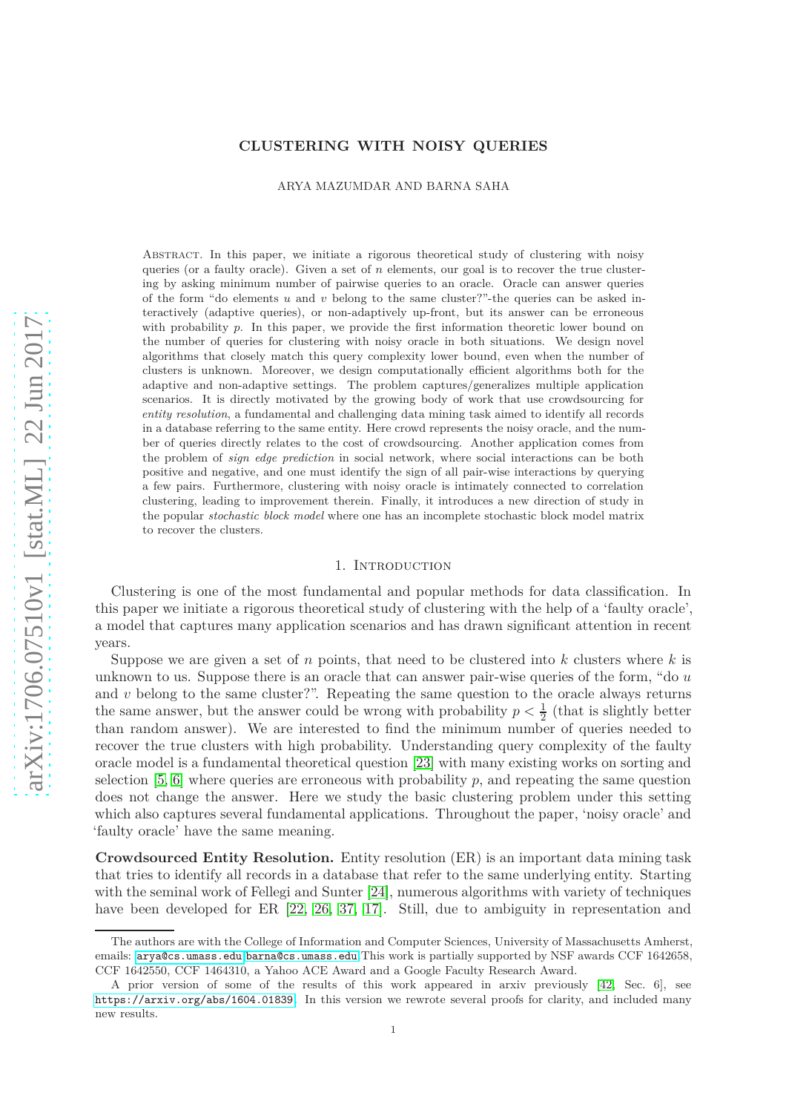# **CLUSTERING WITH NOISY QUERIES**

ARYA MAZUMDAR AND BARNA SAHA

Abstract. In this paper, we initiate a rigorous theoretical study of clustering with noisy queries (or a faulty oracle). Given a set of *n* elements, our goal is to recover the true clustering by asking minimum number of pairwise queries to an oracle. Oracle can answer queries of the form "do elements *u* and *v* belong to the same cluster?"-the queries can be asked interactively (adaptive queries), or non-adaptively up-front, but its answer can be erroneous with probability *p*. In this paper, we provide the first information theoretic lower bound on the number of queries for clustering with noisy oracle in both situations. We design novel algorithms that closely match this query complexity lower bound, even when the number of clusters is unknown. Moreover, we design computationally efficient algorithms both for the adaptive and non-adaptive settings. The problem captures/generalizes multiple application scenarios. It is directly motivated by the growing body of work that use crowdsourcing for *entity resolution*, a fundamental and challenging data mining task aimed to identify all records in a database referring to the same entity. Here crowd represents the noisy oracle, and the number of queries directly relates to the cost of crowdsourcing. Another application comes from the problem of *sign edge prediction* in social network, where social interactions can be both positive and negative, and one must identify the sign of all pair-wise interactions by querying a few pairs. Furthermore, clustering with noisy oracle is intimately connected to correlation clustering, leading to improvement therein. Finally, it introduces a new direction of study in the popular *stochastic block model* where one has an incomplete stochastic block model matrix to recover the clusters.

### 1. Introduction

Clustering is one of the most fundamental and popular methods for data classification. In this paper we initiate a rigorous theoretical study of clustering with the help of a 'faulty oracle', a model that captures many application scenarios and has drawn significant attention in recent years.

Suppose we are given a set of *n* points, that need to be clustered into *k* clusters where *k* is unknown to us. Suppose there is an oracle that can answer pair-wise queries of the form, "do *u* and *v* belong to the same cluster?". Repeating the same question to the oracle always returns the same answer, but the answer could be wrong with probability  $p < \frac{1}{2}$  (that is slightly better than random answer). We are interested to find the minimum number of queries needed to recover the true clusters with high probability. Understanding query complexity of the faulty oracle model is a fundamental theoretical question [\[23\]](#page-17-0) with many existing works on sorting and selection  $[5, 6]$  $[5, 6]$  where queries are erroneous with probability  $p$ , and repeating the same question does not change the answer. Here we study the basic clustering problem under this setting which also captures several fundamental applications. Throughout the paper, 'noisy oracle' and 'faulty oracle' have the same meaning.

**Crowdsourced Entity Resolution.** Entity resolution (ER) is an important data mining task that tries to identify all records in a database that refer to the same underlying entity. Starting with the seminal work of Fellegi and Sunter [\[24\]](#page-17-1), numerous algorithms with variety of techniques have been developed for ER  $[22, 26, 37, 17]$  $[22, 26, 37, 17]$  $[22, 26, 37, 17]$  $[22, 26, 37, 17]$ . Still, due to ambiguity in representation and

The authors are with the College of Information and Computer Sciences, University of Massachusetts Amherst, emails: <arya@cs.umass.edu>,<barna@cs.umass.edu>.This work is partially supported by NSF awards CCF 1642658, CCF 1642550, CCF 1464310, a Yahoo ACE Award and a Google Faculty Research Award.

A prior version of some of the results of this work appeared in arxiv previously [\[42,](#page-17-6) Sec. 6], see <https://arxiv.org/abs/1604.01839>. In this version we rewrote several proofs for clarity, and included many new results.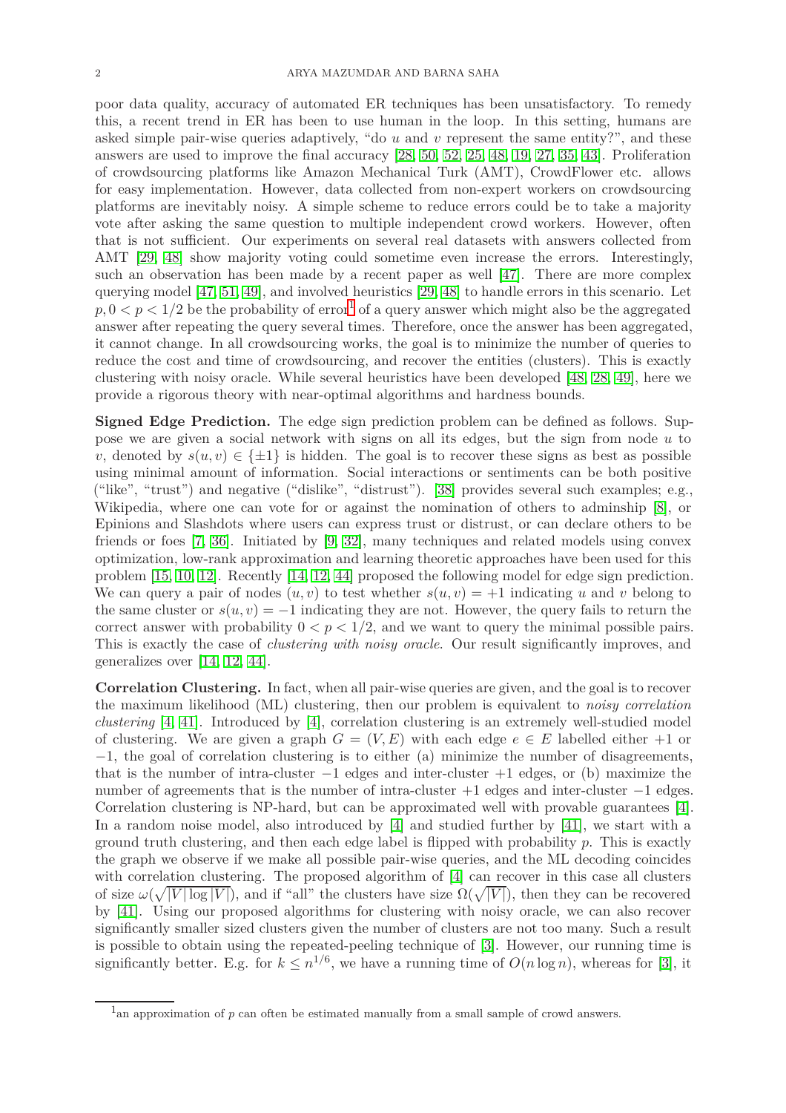poor data quality, accuracy of automated ER techniques has been unsatisfactory. To remedy this, a recent trend in ER has been to use human in the loop. In this setting, humans are asked simple pair-wise queries adaptively, "do *u* and *v* represent the same entity?", and these answers are used to improve the final accuracy [\[28,](#page-17-7) [50,](#page-18-0) [52,](#page-18-1) [25,](#page-17-8) 48, [19,](#page-17-9) [27,](#page-17-10) [35,](#page-17-11) [43\]](#page-17-12). Proliferation of crowdsourcing platforms like Amazon Mechanical Turk (AMT), CrowdFlower etc. allows for easy implementation. However, data collected from non-expert workers on crowdsourcing platforms are inevitably noisy. A simple scheme to reduce errors could be to take a majority vote after asking the same question to multiple independent crowd workers. However, often that is not sufficient. Our experiments on several real datasets with answers collected from AMT [29, 48] show majority voting could sometime even increase the errors. Interestingly, such an observation has been made by a recent paper as well [\[47\]](#page-18-2). There are more complex querying model [\[47,](#page-18-2) [51,](#page-18-3) 49], and involved heuristics [29, 48] to handle errors in this scenario. Let  $p, 0 < p < 1/2$  $p, 0 < p < 1/2$  $p, 0 < p < 1/2$  be the probability of error<sup>1</sup> of a query answer which might also be the aggregated answer after repeating the query several times. Therefore, once the answer has been aggregated, it cannot change. In all crowdsourcing works, the goal is to minimize the number of queries to reduce the cost and time of crowdsourcing, and recover the entities (clusters). This is exactly clustering with noisy oracle. While several heuristics have been developed [48, [28,](#page-17-7) 49], here we provide a rigorous theory with near-optimal algorithms and hardness bounds.

**Signed Edge Prediction.** The edge sign prediction problem can be defined as follows. Suppose we are given a social network with signs on all its edges, but the sign from node *u* to *v*, denoted by  $s(u, v) \in \{\pm 1\}$  is hidden. The goal is to recover these signs as best as possible using minimal amount of information. Social interactions or sentiments can be both positive ("like", "trust") and negative ("dislike", "distrust"). [\[38\]](#page-17-13) provides several such examples; e.g., Wikipedia, where one can vote for or against the nomination of others to adminship [\[8\]](#page-16-2), or Epinions and Slashdots where users can express trust or distrust, or can declare others to be friends or foes [\[7,](#page-16-3) [36\]](#page-17-14). Initiated by [\[9,](#page-16-4) [32\]](#page-17-15), many techniques and related models using convex optimization, low-rank approximation and learning theoretic approaches have been used for this problem [\[15,](#page-16-5) [10,](#page-16-6) [12\]](#page-16-7). Recently [\[14,](#page-16-8) [12,](#page-16-7) 44] proposed the following model for edge sign prediction. We can query a pair of nodes  $(u, v)$  to test whether  $s(u, v) = +1$  indicating *u* and *v* belong to the same cluster or  $s(u, v) = -1$  indicating they are not. However, the query fails to return the correct answer with probability  $0 < p < 1/2$ , and we want to query the minimal possible pairs. This is exactly the case of *clustering with noisy oracle*. Our result significantly improves, and generalizes over [\[14,](#page-16-8) [12,](#page-16-7) 44].

**Correlation Clustering.** In fact, when all pair-wise queries are given, and the goal is to recover the maximum likelihood (ML) clustering, then our problem is equivalent to *noisy correlation clustering* [\[4,](#page-16-9) [41\]](#page-17-16). Introduced by [\[4\]](#page-16-9), correlation clustering is an extremely well-studied model of clustering. We are given a graph  $G = (V, E)$  with each edge  $e \in E$  labelled either  $+1$  or −1, the goal of correlation clustering is to either (a) minimize the number of disagreements, that is the number of intra-cluster  $-1$  edges and inter-cluster  $+1$  edges, or (b) maximize the number of agreements that is the number of intra-cluster +1 edges and inter-cluster −1 edges. Correlation clustering is NP-hard, but can be approximated well with provable guarantees [\[4\]](#page-16-9). In a random noise model, also introduced by [\[4\]](#page-16-9) and studied further by [\[41\]](#page-17-16), we start with a ground truth clustering, and then each edge label is flipped with probability *p*. This is exactly the graph we observe if we make all possible pair-wise queries, and the ML decoding coincides with correlation clustering. The proposed algorithm of [\[4\]](#page-16-9) can recover in this case all clusters of size  $\omega(\sqrt{|V| \log |V|})$ , and if "all" the clusters have size  $\Omega(\sqrt{|V|})$ , then they can be recovered by [\[41\]](#page-17-16). Using our proposed algorithms for clustering with noisy oracle, we can also recover significantly smaller sized clusters given the number of clusters are not too many. Such a result is possible to obtain using the repeated-peeling technique of [3]. However, our running time is significantly better. E.g. for  $k \leq n^{1/6}$ , we have a running time of  $O(n \log n)$ , whereas for [3], it

<span id="page-1-0"></span><sup>&</sup>lt;sup>1</sup> an approximation of *p* can often be estimated manually from a small sample of crowd answers.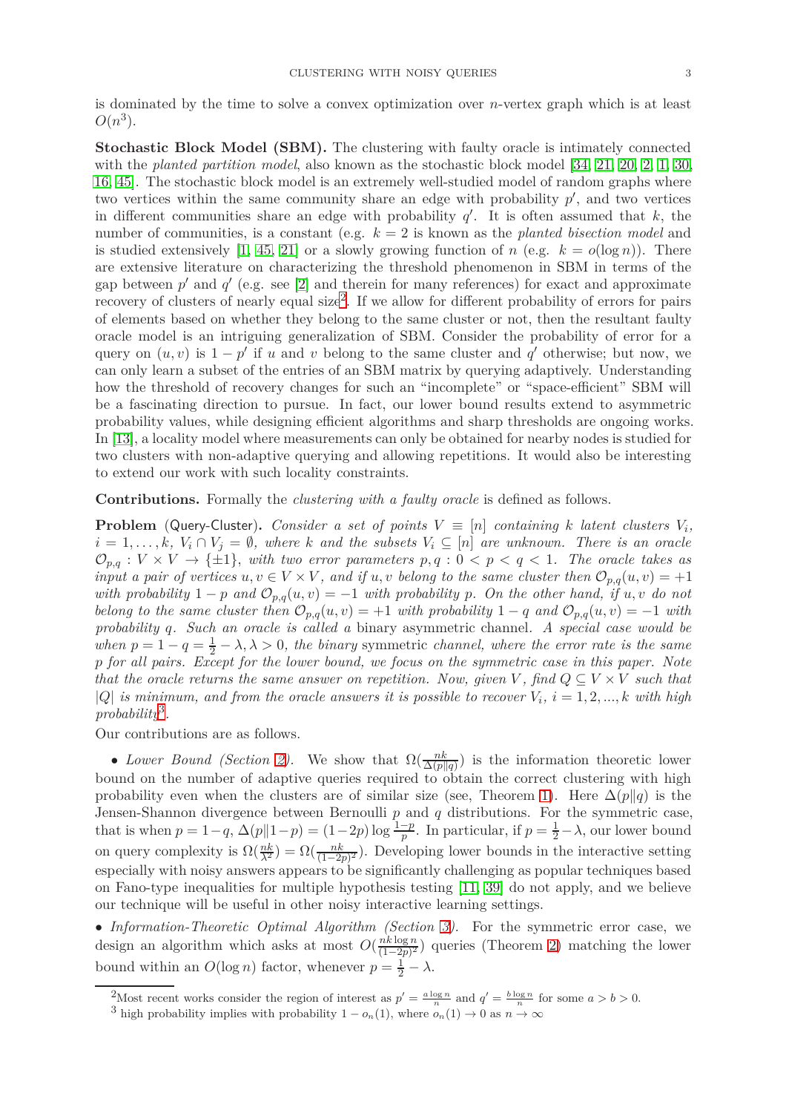is dominated by the time to solve a convex optimization over *n*-vertex graph which is at least  $O(n^3)$ .

**Stochastic Block Model (SBM).** The clustering with faulty oracle is intimately connected with the *planted partition model*, also known as the stochastic block model [\[34,](#page-17-17) [21,](#page-17-18) [20,](#page-17-19) 2, [1,](#page-16-10) [30,](#page-17-20) [16,](#page-17-21) [45\]](#page-17-22). The stochastic block model is an extremely well-studied model of random graphs where two vertices within the same community share an edge with probability  $p'$ , and two vertices in different communities share an edge with probability  $q'$ . It is often assumed that  $k$ , the number of communities, is a constant (e.g. *k* = 2 is known as the *planted bisection model* and is studied extensively [\[1,](#page-16-10) [45,](#page-17-22) [21\]](#page-17-18) or a slowly growing function of *n* (e.g.  $k = o(\log n)$ ). There are extensive literature on characterizing the threshold phenomenon in SBM in terms of the gap between  $p'$  and  $q'$  (e.g. see [2] and therein for many references) for exact and approximate recovery of clusters of nearly equal size<sup>[2](#page-2-0)</sup>. If we allow for different probability of errors for pairs of elements based on whether they belong to the same cluster or not, then the resultant faulty oracle model is an intriguing generalization of SBM. Consider the probability of error for a query on  $(u, v)$  is  $1 - p'$  if *u* and *v* belong to the same cluster and *q*' otherwise; but now, we can only learn a subset of the entries of an SBM matrix by querying adaptively. Understanding how the threshold of recovery changes for such an "incomplete" or "space-efficient" SBM will be a fascinating direction to pursue. In fact, our lower bound results extend to asymmetric probability values, while designing efficient algorithms and sharp thresholds are ongoing works. In [\[13\]](#page-16-11), a locality model where measurements can only be obtained for nearby nodes is studied for two clusters with non-adaptive querying and allowing repetitions. It would also be interesting to extend our work with such locality constraints.

**Contributions.** Formally the *clustering with a faulty oracle* is defined as follows.

**Problem** (Query-Cluster). *Consider a set of points*  $V \equiv [n]$  *containing k latent clusters*  $V_i$ ,  $i = 1, \ldots, k$ ,  $V_i \cap V_j = \emptyset$ , where k and the subsets  $V_i \subseteq [n]$  are unknown. There is an oracle  $\mathcal{O}_{p,q}: V \times V \to \{\pm 1\}$ , with two error parameters  $p,q: 0 < p < q < 1$ . The oracle takes as *input a pair of vertices*  $u, v \in V \times V$ , and if  $u, v$  belong to the same cluster then  $\mathcal{O}_{p,q}(u, v) = +1$ *with probability*  $1 - p$  *and*  $\mathcal{O}_{p,q}(u, v) = -1$  *with probability p.* On the other hand, if  $u, v$  do not *belong to the same cluster then*  $\mathcal{O}_{p,q}(u, v) = +1$  *with probability*  $1 - q$  *and*  $\mathcal{O}_{p,q}(u, v) = -1$  *with probability q. Such an oracle is called a* binary asymmetric channel*. A special case would be when*  $p = 1 - q = \frac{1}{2} - \lambda$ ,  $\lambda > 0$ , the binary symmetric *channel*, *where the error rate is the same p for all pairs. Except for the lower bound, we focus on the symmetric case in this paper. Note that the oracle returns the same answer on repetition. Now, given V*, find  $Q \subseteq V \times V$  such that  $|Q|$  *is minimum, and from the oracle answers it is possible to recover*  $V_i$ ,  $i = 1, 2, ..., k$  *with high probability*[3](#page-2-1) *.*

Our contributions are as follows.

• *Lower Bound (Section [2\)](#page-3-0)*. We show that  $\Omega(\frac{nk}{\Delta(p||q)})$  is the information theoretic lower bound on the number of adaptive queries required to obtain the correct clustering with high probability even when the clusters are of similar size (see, Theorem [1\)](#page-3-1). Here  $\Delta(p||q)$  is the Jensen-Shannon divergence between Bernoulli *p* and *q* distributions. For the symmetric case, that is when  $p = 1 - q$ ,  $\Delta(p||1 - p) = (1 - 2p) \log \frac{1-p}{p}$ . In particular, if  $p = \frac{1}{2} - \lambda$ , our lower bound on query complexity is  $\Omega(\frac{nk}{\lambda^2}) = \Omega(\frac{nk}{(1-2p)^2})$ . Developing lower bounds in the interactive setting especially with noisy answers appears to be significantly challenging as popular techniques based on Fano-type inequalities for multiple hypothesis testing [\[11,](#page-16-12) [39\]](#page-17-23) do not apply, and we believe our technique will be useful in other noisy interactive learning settings.

• *Information-Theoretic Optimal Algorithm (Section [3\)](#page-6-0).* For the symmetric error case, we design an algorithm which asks at most  $O(\frac{nk \log n}{(1-2n)^2})$  $\frac{n k \log n}{(1-2p)^2}$  queries (Theorem [2\)](#page-6-1) matching the lower bound within an  $O(\log n)$  factor, whenever  $p = \frac{1}{2} - \lambda$ .

<sup>2</sup>Most recent works consider the region of interest as  $p' = \frac{a \log n}{n}$  and  $q' = \frac{b \log n}{n}$  for some  $a > b > 0$ .

<span id="page-2-1"></span><span id="page-2-0"></span><sup>&</sup>lt;sup>3</sup> high probability implies with probability  $1 - o_n(1)$ , where  $o_n(1) \to 0$  as  $n \to \infty$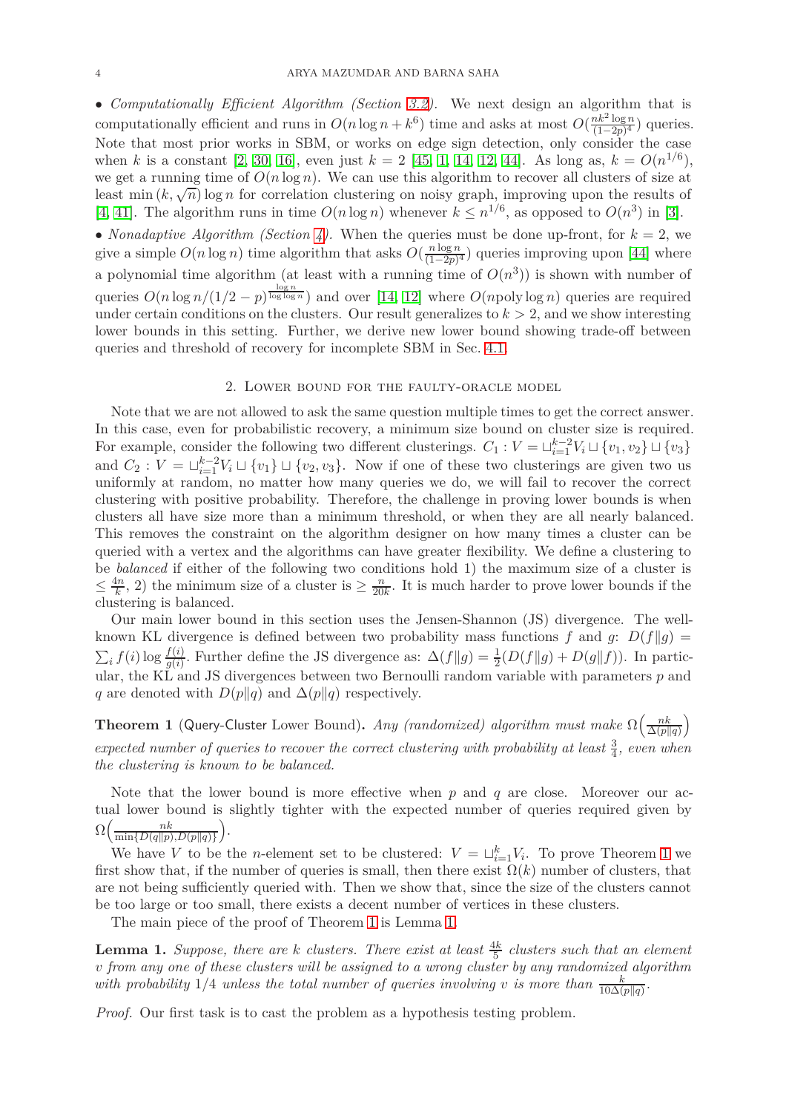• *Computationally Efficient Algorithm (Section [3.2\)](#page-10-0).* We next design an algorithm that is computationally efficient and runs in  $O(n \log n + k^6)$  time and asks at most  $O(\frac{nk^2 \log n}{(1-2n)^4})$  $\frac{n\kappa^2 \log n}{(1-2p)^4}$  queries. Note that most prior works in SBM, or works on edge sign detection, only consider the case when *k* is a constant [2, [30,](#page-17-20) [16\]](#page-17-21), even just  $k = 2$  [\[45,](#page-17-22) [1,](#page-16-10) [14,](#page-16-8) [12,](#page-16-7) 44]. As long as,  $k = O(n^{1/6})$ , we get a running time of  $O(n \log n)$ . We can use this algorithm to recover all clusters of size at least min  $(k, \sqrt{n})$  log *n* for correlation clustering on noisy graph, improving upon the results of [\[4,](#page-16-9) [41\]](#page-17-16). The algorithm runs in time  $O(n \log n)$  whenever  $k \leq n^{1/6}$ , as opposed to  $O(n^3)$  in [3].

• *Nonadaptive Algorithm (Section [4\)](#page-14-0)*. When the queries must be done up-front, for  $k = 2$ , we give a simple  $O(n \log n)$  time algorithm that asks  $O(\frac{n \log n}{(1-2n)^{n}})$  $\frac{n \log n}{(1-2p)^4}$  queries improving upon [44] where a polynomial time algorithm (at least with a running time of  $O(n^3)$ ) is shown with number of queries  $O(n \log n/(1/2 - p)^{\frac{\log n}{\log \log n}})$  and over [\[14,](#page-16-8) [12\]](#page-16-7) where  $O(npoly \log n)$  queries are required under certain conditions on the clusters. Our result generalizes to  $k > 2$ , and we show interesting lower bounds in this setting. Further, we derive new lower bound showing trade-off between queries and threshold of recovery for incomplete SBM in Sec. [4.1.](#page-15-0)

# 2. Lower bound for the faulty-oracle model

<span id="page-3-0"></span>Note that we are not allowed to ask the same question multiple times to get the correct answer. In this case, even for probabilistic recovery, a minimum size bound on cluster size is required. For example, consider the following two different clusterings.  $C_1: V = \sqcup_{i=1}^{k-2} V_i \sqcup \{v_1, v_2\} \sqcup \{v_3\}$ and  $C_2: V = \bigcup_{i=1}^{k-2} V_i \sqcup \{v_1\} \sqcup \{v_2, v_3\}.$  Now if one of these two clusterings are given two us uniformly at random, no matter how many queries we do, we will fail to recover the correct clustering with positive probability. Therefore, the challenge in proving lower bounds is when clusters all have size more than a minimum threshold, or when they are all nearly balanced. This removes the constraint on the algorithm designer on how many times a cluster can be queried with a vertex and the algorithms can have greater flexibility. We define a clustering to be *balanced* if either of the following two conditions hold 1) the maximum size of a cluster is  $\leq \frac{4n}{k}$  $\frac{dn}{k}$ , 2) the minimum size of a cluster is  $\geq \frac{n}{20}$  $\frac{n}{20k}$ . It is much harder to prove lower bounds if the clustering is balanced.

Our main lower bound in this section uses the Jensen-Shannon (JS) divergence. The wellknown KL divergence is defined between two probability mass functions  $f$  and  $g$ :  $D(f||g)$  =  $\sum_i f(i) \log \frac{f(i)}{g(i)}$ . Further define the JS divergence as:  $\Delta(f||g) = \frac{1}{2}(D(f||g) + D(g||f))$ . In particular, the KL and JS divergences between two Bernoulli random variable with parameters *p* and *q* are denoted with  $D(p||q)$  and  $\Delta(p||q)$  respectively.

<span id="page-3-1"></span>**Theorem 1** (Query-Cluster Lower Bound). *Any (randomized) algorithm must make*  $\Omega\left(\frac{nk}{\Delta(n)}\right)$  $\Delta(p||q)$  $\setminus$  $expected\ number\ of\ queries\ to\ recover\ the\ correct\ clustering\ with\ probability\ at\ least\  $\frac{3}{4}$ ,\ even\ when$ *the clustering is known to be balanced.*

Note that the lower bound is more effective when *p* and *q* are close. Moreover our actual lower bound is slightly tighter with the expected number of queries required given by  $\Omega\left(\frac{nk}{\min\{D(a\|n)\}}\right)$  $\min\{D(q||p), D(p||q)\}$ *.*

We have *V* to be the *n*-element set to be clustered:  $V = \sqcup_{i=1}^k V_i$ . To prove Theorem [1](#page-3-1) we first show that, if the number of queries is small, then there exist  $\Omega(k)$  number of clusters, that are not being sufficiently queried with. Then we show that, since the size of the clusters cannot be too large or too small, there exists a decent number of vertices in these clusters.

The main piece of the proof of Theorem [1](#page-3-1) is Lemma [1.](#page-3-2)

<span id="page-3-2"></span>**Lemma 1.** *Suppose, there are k clusters. There exist at least*  $\frac{4k}{5}$  *clusters such that an element* **Example 1:** *Suppose*, there are *k* clusters. There exist at teast  $\frac{1}{5}$  clusters such that an element v from any one of these clusters will be assigned to a wrong cluster by any randomized algorithm *with probability* 1/4 *unless the total number of queries involving v is more than*  $\frac{k}{10\Delta(p||q)}$ .

*Proof.* Our first task is to cast the problem as a hypothesis testing problem.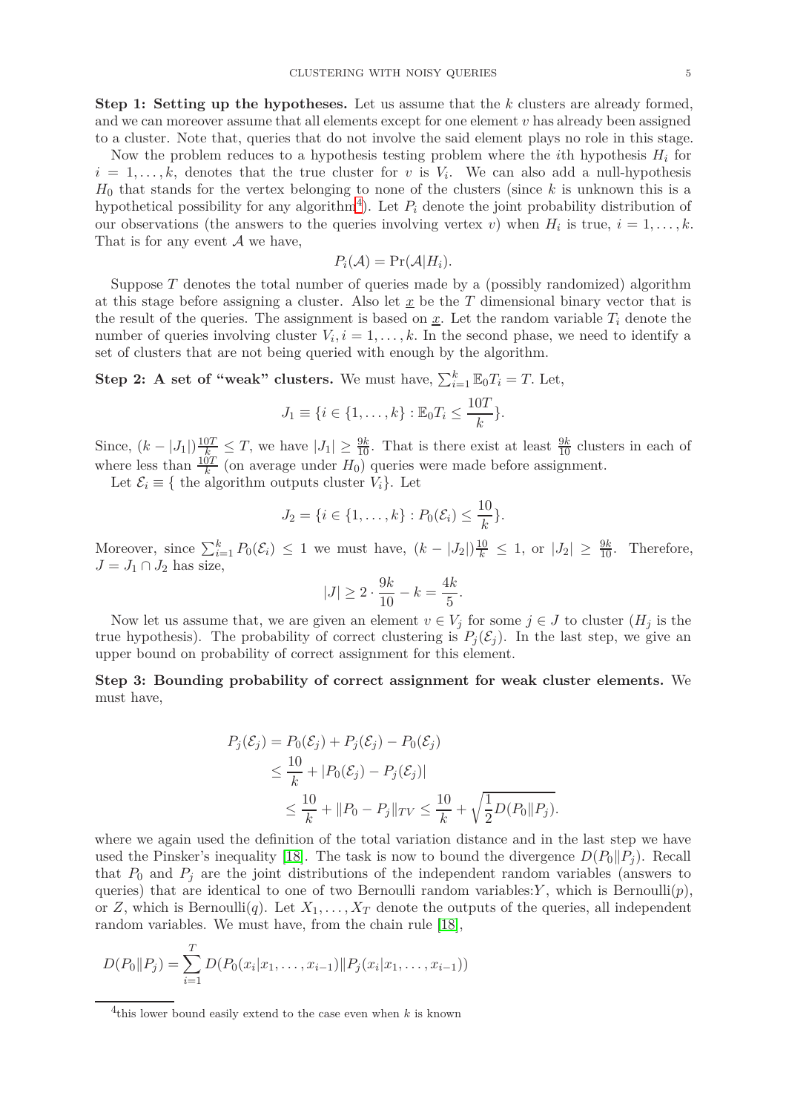**Step 1: Setting up the hypotheses.** Let us assume that the *k* clusters are already formed, and we can moreover assume that all elements except for one element *v* has already been assigned to a cluster. Note that, queries that do not involve the said element plays no role in this stage.

Now the problem reduces to a hypothesis testing problem where the *i*th hypothesis *H<sup>i</sup>* for  $i = 1, \ldots, k$ , denotes that the true cluster for *v* is  $V_i$ . We can also add a null-hypothesis *H*<sup>0</sup> that stands for the vertex belonging to none of the clusters (since *k* is unknown this is a hypothetical possibility for any algorithm<sup>[4](#page-4-0)</sup>). Let  $P_i$  denote the joint probability distribution of our observations (the answers to the queries involving vertex *v*) when  $H_i$  is true,  $i = 1, \ldots, k$ . That is for any event  $A$  we have,

$$
P_i(\mathcal{A}) = \Pr(\mathcal{A}|H_i).
$$

Suppose *T* denotes the total number of queries made by a (possibly randomized) algorithm at this stage before assigning a cluster. Also let  $\underline{x}$  be the  $T$  dimensional binary vector that is the result of the queries. The assignment is based on  $x$ . Let the random variable  $T_i$  denote the number of queries involving cluster  $V_i$ ,  $i = 1, \ldots, k$ . In the second phase, we need to identify a set of clusters that are not being queried with enough by the algorithm.

**Step 2:** A set of "weak" clusters. We must have,  $\sum_{i=1}^{k} \mathbb{E}_0 T_i = T$ . Let,

$$
J_1 \equiv \{i \in \{1, \ldots, k\} : \mathbb{E}_0 T_i \le \frac{10T}{k}\}.
$$

Since,  $(k - |J_1|) \frac{10T}{k} \leq T$ , we have  $|J_1| \geq \frac{9k}{10}$ . That is there exist at least  $\frac{9k}{10}$  clusters in each of where less than  $\frac{10T}{k}$  (on average under  $H_0$ ) queries were made before assignment.

Let  $\mathcal{E}_i \equiv \{$  the algorithm outputs cluster  $V_i$ . Let

$$
J_2 = \{i \in \{1, \ldots, k\} : P_0(\mathcal{E}_i) \le \frac{10}{k}\}.
$$

Moreover, since  $\sum_{i=1}^{k} P_0(\mathcal{E}_i) \leq 1$  we must have,  $(k - |J_2|) \frac{10}{k} \leq 1$ , or  $|J_2| \geq \frac{9k}{10}$ . Therefore,  $J = J_1 \cap J_2$  has size,

$$
|J| \ge 2 \cdot \frac{9k}{10} - k = \frac{4k}{5}.
$$

Now let us assume that, we are given an element  $v \in V_j$  for some  $j \in J$  to cluster  $(H_j)$  is the true hypothesis). The probability of correct clustering is  $P_i(\mathcal{E}_i)$ . In the last step, we give an upper bound on probability of correct assignment for this element.

**Step 3: Bounding probability of correct assignment for weak cluster elements.** We must have,

$$
P_j(\mathcal{E}_j) = P_0(\mathcal{E}_j) + P_j(\mathcal{E}_j) - P_0(\mathcal{E}_j)
$$
  
\n
$$
\leq \frac{10}{k} + |P_0(\mathcal{E}_j) - P_j(\mathcal{E}_j)|
$$
  
\n
$$
\leq \frac{10}{k} + ||P_0 - P_j||_{TV} \leq \frac{10}{k} + \sqrt{\frac{1}{2}D(P_0||P_j)}.
$$

where we again used the definition of the total variation distance and in the last step we have used the Pinsker's inequality [\[18\]](#page-17-24). The task is now to bound the divergence  $D(P_0||P_i)$ . Recall that  $P_0$  and  $P_j$  are the joint distributions of the independent random variables (answers to queries) that are identical to one of two Bernoulli random variables: $Y$ , which is Bernoulli $(p)$ , or *Z*, which is Bernoulli(*q*). Let  $X_1, \ldots, X_T$  denote the outputs of the queries, all independent random variables. We must have, from the chain rule [\[18\]](#page-17-24),

$$
D(P_0||P_j) = \sum_{i=1}^{T} D(P_0(x_i|x_1,\ldots,x_{i-1})||P_j(x_i|x_1,\ldots,x_{i-1}))
$$

<span id="page-4-0"></span><sup>4</sup> this lower bound easily extend to the case even when *k* is known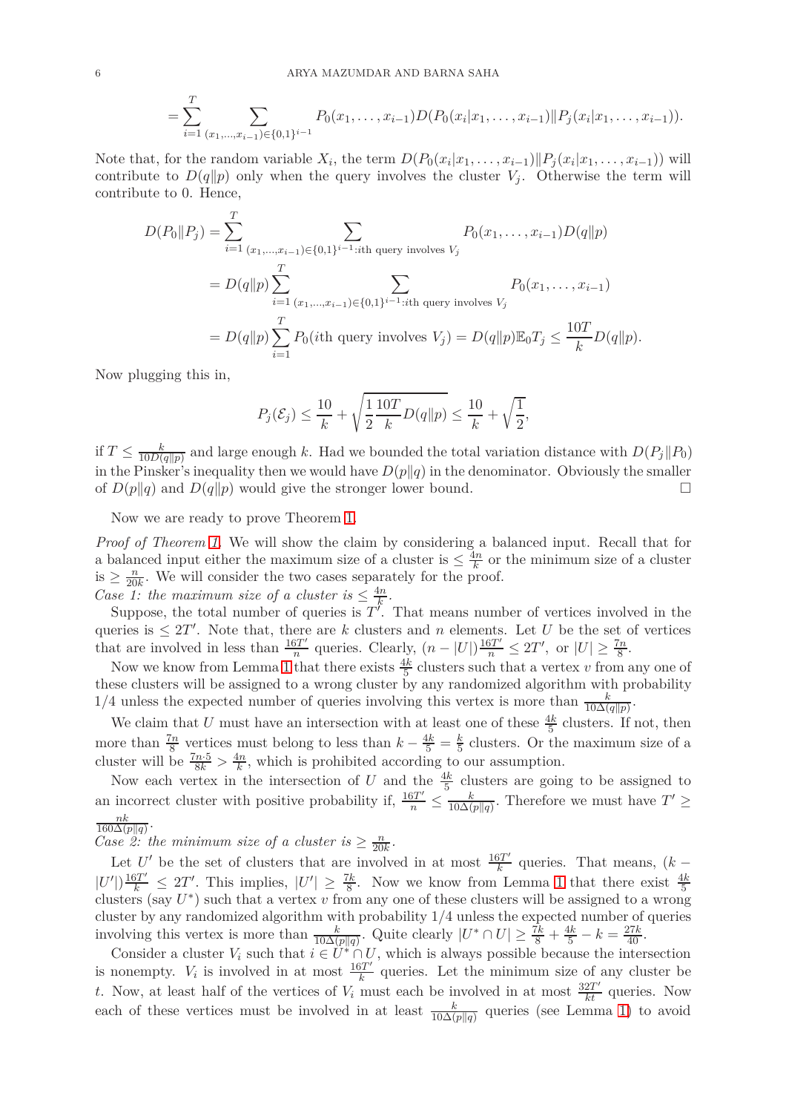$$
= \sum_{i=1}^T \sum_{(x_1,\ldots,x_{i-1}) \in \{0,1\}^{i-1}} P_0(x_1,\ldots,x_{i-1}) D(P_0(x_i|x_1,\ldots,x_{i-1}) || P_j(x_i|x_1,\ldots,x_{i-1})).
$$

Note that, for the random variable  $X_i$ , the term  $D(P_0(x_i|x_1,\ldots,x_{i-1})||P_j(x_i|x_1,\ldots,x_{i-1}))$  will contribute to  $D(q||p)$  only when the query involves the cluster  $V_i$ . Otherwise the term will contribute to 0. Hence,

$$
D(P_0||P_j) = \sum_{i=1}^T \sum_{(x_1, ..., x_{i-1}) \in \{0,1\}^{i-1}:\text{ith query involves } V_j} P_0(x_1, ..., x_{i-1})D(q||p)
$$
  
=  $D(q||p) \sum_{i=1}^T \sum_{(x_1, ..., x_{i-1}) \in \{0,1\}^{i-1}:\text{ith query involves } V_j} P_0(x_1, ..., x_{i-1})$   
=  $D(q||p) \sum_{i=1}^T P_0(i\text{th query involves } V_j) = D(q||p)\mathbb{E}_0 T_j \le \frac{10T}{k}D(q||p).$ 

Now plugging this in,

$$
P_j(\mathcal{E}_j) \le \frac{10}{k} + \sqrt{\frac{1}{2} \frac{10T}{k} D(q||p)} \le \frac{10}{k} + \sqrt{\frac{1}{2}},
$$

if  $T \leq \frac{k}{10D(n)}$  $\frac{k}{10D(q||p)}$  and large enough *k*. Had we bounded the total variation distance with  $D(P_j||P_0)$ in the Pinsker's inequality then we would have  $D(p||q)$  in the denominator. Obviously the smaller of  $D(p||q)$  and  $D(q||p)$  would give the stronger lower bound.

Now we are ready to prove Theorem [1.](#page-3-1)

*Proof of Theorem [1.](#page-3-1)* We will show the claim by considering a balanced input. Recall that for a balanced input either the maximum size of a cluster is  $\leq \frac{4n}{k}$  or the minimum size of a cluster is  $\geq \frac{n}{20k}$ . We will consider the two cases separately for the proof.

*Case 1: the maximum size of a cluster is*  $\leq \frac{4n}{k}$  $\frac{4n}{k}$ .

Suppose, the total number of queries is  $T'$ . That means number of vertices involved in the queries is  $\leq 2T'$ . Note that, there are *k* clusters and *n* elements. Let *U* be the set of vertices that are involved in less than  $\frac{16T'}{n}$  $\frac{5T'}{n}$  queries. Clearly,  $(n - |U|) \frac{16T'}{n} \leq 2T'$ , or  $|U| \geq \frac{7n}{8}$ .

Now we know from Lemma [1](#page-3-2) that there exists  $\frac{4k}{5}$  clusters such that a vertex *v* from any one of these clusters will be assigned to a wrong cluster by any randomized algorithm with probability 1/4 unless the expected number of queries involving this vertex is more than  $\frac{k}{10\Delta(q||p)}$ .

We claim that *U* must have an intersection with at least one of these  $\frac{4k}{5}$  clusters. If not, then more than  $\frac{7n}{8}$  vertices must belong to less than  $k - \frac{4k}{5} = \frac{k}{5}$  clusters. Or t  $\frac{k}{5}$  clusters. Or the maximum size of a cluster will be  $\frac{7n \cdot 5}{8k} > \frac{4n}{k}$  $\frac{dn}{k}$ , which is prohibited according to our assumption.

Now each vertex in the intersection of *U* and the  $\frac{4k}{5}$  clusters are going to be assigned to an incorrect cluster with positive probability if,  $\frac{16T'}{n} \leq \frac{k}{10\Delta(1)}$  $\frac{k}{10\Delta(p||q)}$ . Therefore we must have  $T' \geq$ *nk*  $\frac{n\kappa}{160\Delta(p||q)}$ 

*Case* 2: the minimum size of a cluster is  $\geq \frac{n}{20k}$ .

Let *U'* be the set of clusters that are involved in at most  $\frac{16T'}{k}$  $\frac{bT}{k}$  queries. That means,  $(k |U'| \frac{16T'}{k} \leq 2T'$ . This implies,  $|U'| \geq \frac{7k}{8}$ . Now we know from Lemma [1](#page-3-2) that there exist  $\frac{4k}{5}$  clusters (say  $U^*$ ) such that a vertex v from any one of these clusters will be assigned to a wrong cluster by any randomized algorithm with probability 1*/*4 unless the expected number of queries involving this vertex is more than  $\frac{k}{10\Delta(p||q)}$ . Quite clearly  $|U^* \cap U| \ge \frac{7k}{8} + \frac{4k}{5} - k = \frac{27k}{40}$ .

Consider a cluster  $V_i$  such that  $i \in U^* \cap U$ , which is always possible because the intersection is nonempty.  $V_i$  is involved in at most  $\frac{16T'}{k}$  $\frac{\delta T}{k}$  queries. Let the minimum size of any cluster be *t*. Now, at least half of the vertices of  $V_i$  must each be involved in at most  $\frac{32T'}{kt}$  queries. Now each of these vertices must be involved in at least  $\frac{k}{10\Delta(p||q)}$  queries (see Lemma [1\)](#page-3-2) to avoid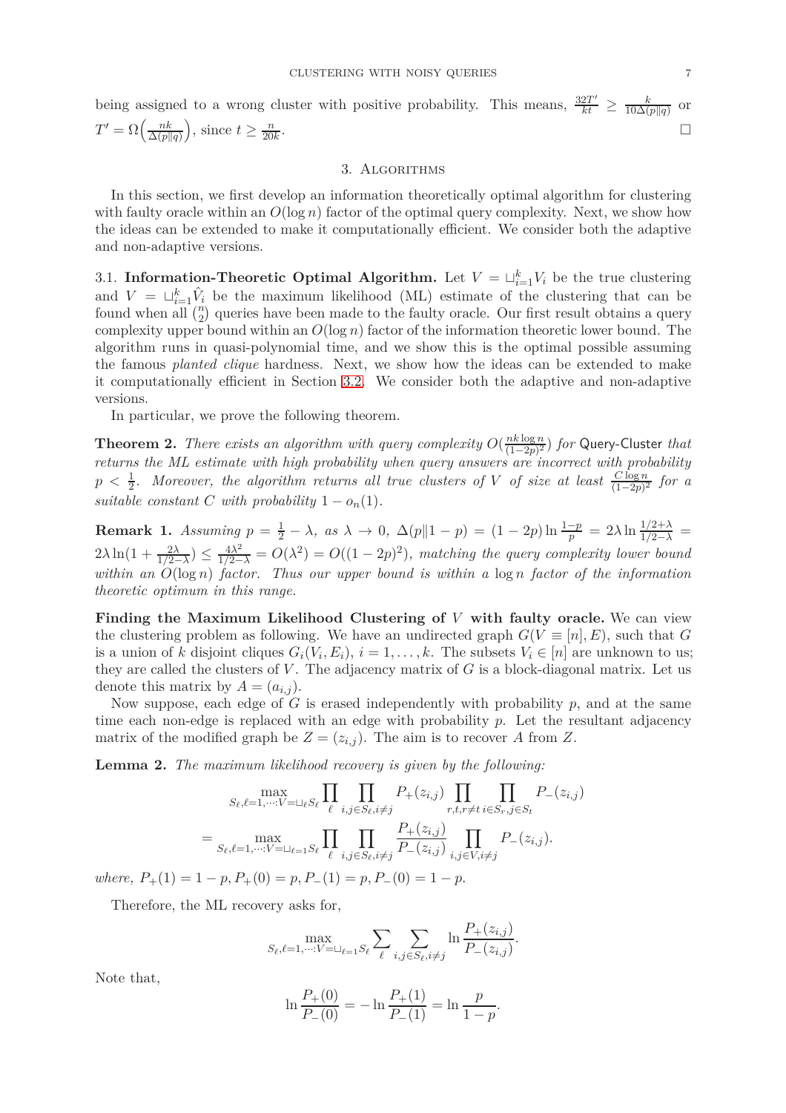being assigned to a wrong cluster with positive probability. This means,  $\frac{32T'}{kt} \geq \frac{k}{10\Delta(t)}$  $10\Delta(p||q)$ or  $T' = \Omega\left(\frac{nk}{\Delta(n)}\right)$  $\Delta(p||q)$  $\left( \theta, \sin \theta \right) \geq \frac{n}{20k}$ . В последните последните последните последните последните последните последните последните последните последн<br>В последните последните последните последните последните последните последните последните последните последнит

### 3. Algorithms

<span id="page-6-0"></span>In this section, we first develop an information theoretically optimal algorithm for clustering with faulty oracle within an  $O(\log n)$  factor of the optimal query complexity. Next, we show how the ideas can be extended to make it computationally efficient. We consider both the adaptive and non-adaptive versions.

<span id="page-6-2"></span>3.1. **Information-Theoretic Optimal Algorithm.** Let  $V = \bigcup_{i=1}^{k} V_i$  be the true clustering and  $V = \bigcup_{i=1}^k \hat{V}_i$  be the maximum likelihood (ML) estimate of the clustering that can be found when  $\overline{all}$   $\binom{n}{2}$  queries have been made to the faulty oracle. Our first result obtains a query complexity upper bound within an *O*(log *n*) factor of the information theoretic lower bound. The algorithm runs in quasi-polynomial time, and we show this is the optimal possible assuming the famous *planted clique* hardness. Next, we show how the ideas can be extended to make it computationally efficient in Section [3.2.](#page-10-0) We consider both the adaptive and non-adaptive versions.

In particular, we prove the following theorem.

<span id="page-6-1"></span>**Theorem 2.** *There exists an algorithm with query complexity*  $O(\frac{nk \log n}{(1-2n)^2})$  $\frac{n\kappa \log n}{(1-2p)^2}$  *for* Query-Cluster *that returns the ML estimate with high probability when query answers are incorrect with probability*  $p < \frac{1}{2}$ . Moreover, the algorithm returns all true clusters of *V* of size at least  $\frac{C \log n}{(1-2p)^2}$  for a *suitable constant C with probability*  $1 - o_n(1)$ *.* 

**Remark 1.** *Assuming*  $p = \frac{1}{2} - \lambda$ , as  $\lambda \to 0$ ,  $\Delta(p||1 - p) = (1 - 2p) \ln \frac{1-p}{p} = 2\lambda \ln \frac{1/2+\lambda}{1/2-\lambda}$  $2\lambda \ln(1 + \frac{2\lambda}{1/2 - \lambda}) \leq \frac{4\lambda^2}{1/2 - \lambda} = O(\lambda^2) = O((1 - 2p)^2)$ , matching the query complexity lower bound *within an O*(log *n*) *factor. Thus our upper bound is within a* log *n factor of the information theoretic optimum in this range.*

**Finding the Maximum Likelihood Clustering of** *V* **with faulty oracle.** We can view the clustering problem as following. We have an undirected graph  $G(V \equiv [n], E)$ , such that *G* is a union of *k* disjoint cliques  $G_i(V_i, E_i)$ ,  $i = 1, \ldots, k$ . The subsets  $V_i \in [n]$  are unknown to us; they are called the clusters of  $V$ . The adjacency matrix of  $G$  is a block-diagonal matrix. Let us denote this matrix by  $A = (a_{i,j})$ .

Now suppose, each edge of *G* is erased independently with probability *p*, and at the same time each non-edge is replaced with an edge with probability *p*. Let the resultant adjacency matrix of the modified graph be  $Z = (z_{i,j})$ . The aim is to recover A from Z.

**Lemma 2.** *The maximum likelihood recovery is given by the following:*

$$
S_{\ell}, \ell=1, \dots; V=\sqcup_{\ell} S_{\ell} \prod_{\ell} \prod_{i,j \in S_{\ell}, i \neq j} P_{+}(z_{i,j}) \prod_{r,t,r \neq t} \prod_{i \in S_{r}, j \in S_{t}} P_{-}(z_{i,j})
$$

$$
= \max_{S_{\ell}, \ell=1, \dots; V=\sqcup_{\ell=1} S_{\ell}} \prod_{\ell} \prod_{i,j \in S_{\ell}, i \neq j} \frac{P_{+}(z_{i,j})}{P_{-}(z_{i,j})} \prod_{i,j \in V, i \neq j} P_{-}(z_{i,j}).
$$

 $where, P_{+}(1) = 1 - p, P_{+}(0) = p, P_{-}(1) = p, P_{-}(0) = 1 - p.$ 

Therefore, the ML recovery asks for,

$$
\max_{S_{\ell}, \ell=1,\dots;V=\sqcup_{\ell=1} S_{\ell}} \sum_{\ell} \sum_{i,j \in S_{\ell}, i \neq j} \ln \frac{P_{+}(z_{i,j})}{P_{-}(z_{i,j})}.
$$

Note that,

$$
\ln \frac{P_+(0)}{P_-(0)} = -\ln \frac{P_+(1)}{P_-(1)} = \ln \frac{p}{1-p}.
$$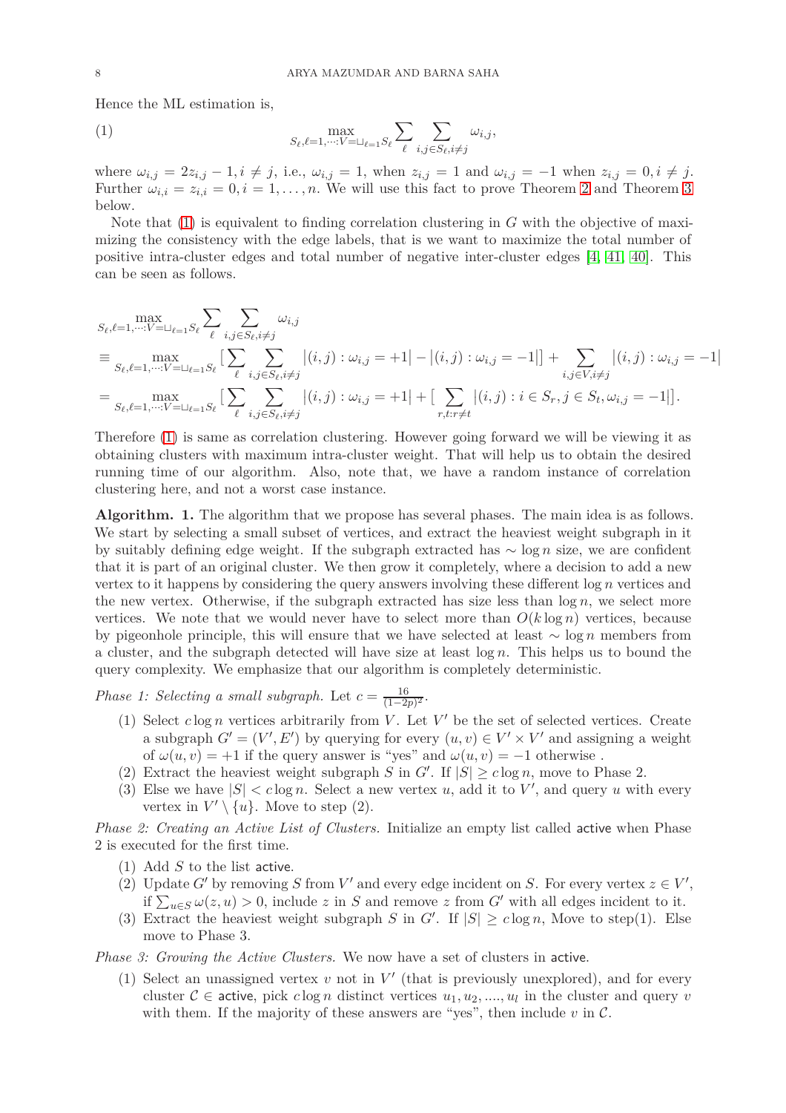Hence the ML estimation is,

<span id="page-7-0"></span>(1) 
$$
\max_{S_{\ell}, \ell=1,\cdots: V=\sqcup_{\ell=1} S_{\ell}} \sum_{\ell} \sum_{i,j \in S_{\ell}, i \neq j} \omega_{i,j},
$$

where  $\omega_{i,j} = 2z_{i,j} - 1, i \neq j$ , i.e.,  $\omega_{i,j} = 1$ , when  $z_{i,j} = 1$  and  $\omega_{i,j} = -1$  when  $z_{i,j} = 0, i \neq j$ . Further  $\omega_{i,i} = z_{i,i} = 0, i = 1, \ldots, n$ . We will use this fact to prove Theorem [2](#page-6-1) and Theorem [3](#page-9-0) below.

Note that [\(1\)](#page-7-0) is equivalent to finding correlation clustering in *G* with the objective of maximizing the consistency with the edge labels, that is we want to maximize the total number of positive intra-cluster edges and total number of negative inter-cluster edges [\[4,](#page-16-9) [41,](#page-17-16) [40\]](#page-17-25). This can be seen as follows.

$$
S_{\ell},\ell=1,\dots,V=\sqcup_{\ell=1}S_{\ell}}\sum_{\ell} \sum_{i,j \in S_{\ell}, i \neq j} \omega_{i,j}
$$
  
\n
$$
\equiv \max_{S_{\ell},\ell=1,\dots,V=\sqcup_{\ell=1}S_{\ell}} \left[ \sum_{\ell} \sum_{i,j \in S_{\ell}, i \neq j} \omega_{i,j} \right] (i,j) : \omega_{i,j} = +1 \left| - \left| (i,j) : \omega_{i,j} = -1 \right| \right] + \sum_{i,j \in V, i \neq j} \left| (i,j) : \omega_{i,j} = -1 \right|
$$
  
\n
$$
= \max_{S_{\ell},\ell=1,\dots,V=\sqcup_{\ell=1}S_{\ell}} \left[ \sum_{\ell} \sum_{i,j \in S_{\ell}, i \neq j} \left| (i,j) : \omega_{i,j} = +1 \right| + \left[ \sum_{r,t:r \neq t} \left| (i,j) : i \in S_r, j \in S_t, \omega_{i,j} = -1 \right| \right].
$$

Therefore [\(1\)](#page-7-0) is same as correlation clustering. However going forward we will be viewing it as obtaining clusters with maximum intra-cluster weight. That will help us to obtain the desired running time of our algorithm. Also, note that, we have a random instance of correlation clustering here, and not a worst case instance.

**Algorithm. 1.** The algorithm that we propose has several phases. The main idea is as follows. We start by selecting a small subset of vertices, and extract the heaviest weight subgraph in it by suitably defining edge weight. If the subgraph extracted has ∼ log *n* size, we are confident that it is part of an original cluster. We then grow it completely, where a decision to add a new vertex to it happens by considering the query answers involving these different log *n* vertices and the new vertex. Otherwise, if the subgraph extracted has size less than  $\log n$ , we select more vertices. We note that we would never have to select more than  $O(k \log n)$  vertices, because by pigeonhole principle, this will ensure that we have selected at least ∼ log *n* members from a cluster, and the subgraph detected will have size at least log *n*. This helps us to bound the query complexity. We emphasize that our algorithm is completely deterministic.

*Phase 1: Selecting a small subgraph.* Let  $c = \frac{16}{(1-2)}$  $\frac{16}{(1-2p)^2}$ .

- (1) Select  $c \log n$  vertices arbitrarily from *V*. Let *V'* be the set of selected vertices. Create a subgraph  $G' = (V', E')$  by querying for every  $(u, v) \in V' \times V'$  and assigning a weight of  $\omega(u, v) = +1$  if the query answer is "yes" and  $\omega(u, v) = -1$  otherwise.
- (2) Extract the heaviest weight subgraph *S* in *G'*. If  $|S| \ge c \log n$ , move to Phase 2.
- (3) Else we have  $|S| < c \log n$ . Select a new vertex *u*, add it to *V'*, and query *u* with every vertex in  $V' \setminus \{u\}$ . Move to step (2).

*Phase 2: Creating an Active List of Clusters.* Initialize an empty list called active when Phase 2 is executed for the first time.

- (1) Add *S* to the list active.
- (2) Update *G*<sup> $\prime$ </sup> by removing *S* from *V*<sup> $\prime$ </sup> and every edge incident on *S*. For every vertex  $z \in V'$ , if  $\sum_{u \in S} \omega(z, u) > 0$ , include *z* in *S* and remove *z* from *G'* with all edges incident to it.
- (3) Extract the heaviest weight subgraph *S* in *G'*. If  $|S| \ge c \log n$ , Move to step(1). Else move to Phase 3.

*Phase 3: Growing the Active Clusters.* We now have a set of clusters in active.

(1) Select an unassigned vertex  $v$  not in  $V'$  (that is previously unexplored), and for every cluster  $C \in \text{active}$ , pick  $c \log n$  distinct vertices  $u_1, u_2, \ldots, u_l$  in the cluster and query *v* with them. If the majority of these answers are "yes", then include  $v$  in  $\mathcal{C}$ .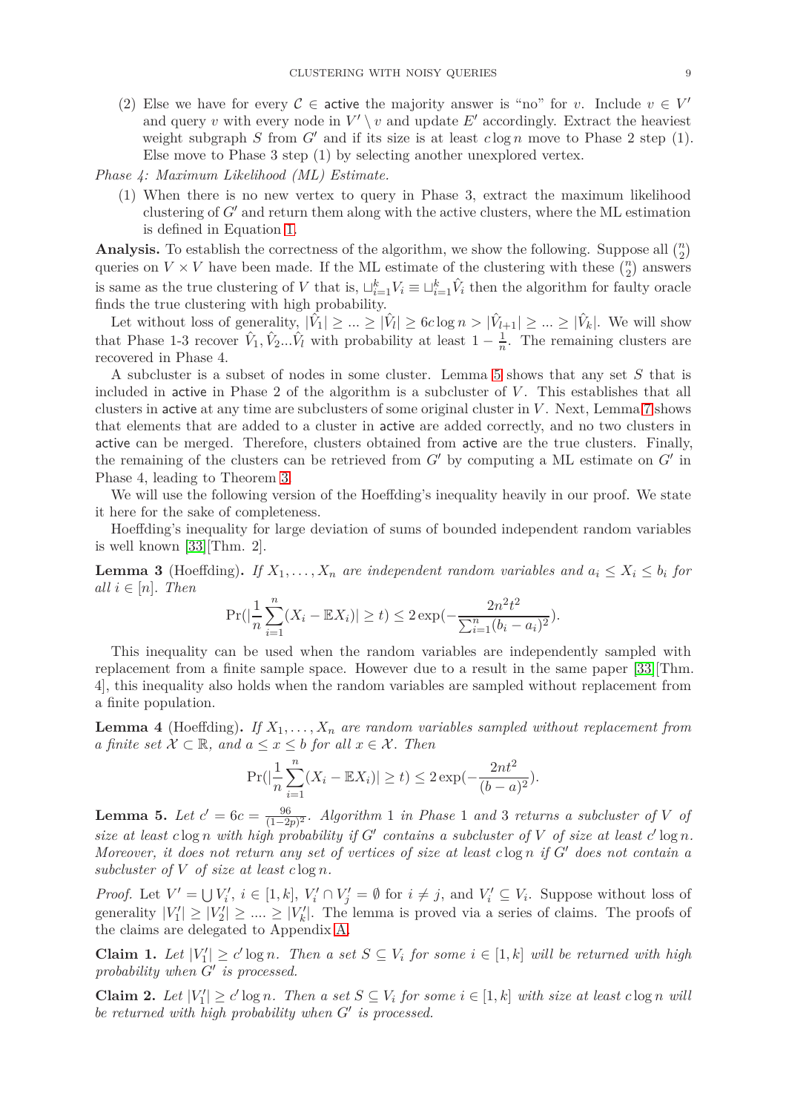- (2) Else we have for every  $C \in$  active the majority answer is "no" for *v*. Include  $v \in V'$ and query *v* with every node in  $V' \setminus v$  and update  $E'$  accordingly. Extract the heaviest weight subgraph *S* from  $G'$  and if its size is at least  $c \log n$  move to Phase 2 step (1). Else move to Phase 3 step (1) by selecting another unexplored vertex.
- *Phase 4: Maximum Likelihood (ML) Estimate.*
	- (1) When there is no new vertex to query in Phase 3, extract the maximum likelihood clustering of *G*′ and return them along with the active clusters, where the ML estimation is defined in Equation [1.](#page-7-0)

**Analysis.** To establish the correctness of the algorithm, we show the following. Suppose all  $\binom{n}{2}$ queries on  $V \times V$  have been made. If the ML estimate of the clustering with these  $\binom{n}{2}$  answers is same as the true clustering of *V* that is,  $\sqcup_{i=1}^k V_i \equiv \sqcup_{i=1}^k \hat{V}_i$  then the algorithm for faulty oracle finds the true clustering with high probability.

Let without loss of generality,  $|\hat{V}_1| \geq ... \geq |\hat{V}_l| \geq 6c \log n > |\hat{V}_{l+1}| \geq ... \geq |\hat{V}_k|$ . We will show that Phase 1-3 recover  $\hat{V}_1, \hat{V}_2...\hat{V}_l$  with probability at least  $1-\frac{1}{n}$  $\frac{1}{n}$ . The remaining clusters are recovered in Phase 4.

A subcluster is a subset of nodes in some cluster. Lemma [5](#page-8-0) shows that any set *S* that is included in active in Phase 2 of the algorithm is a subcluster of *V*. This establishes that all clusters in active at any time are subclusters of some original cluster in *V* . Next, Lemma [7](#page-9-1) shows that elements that are added to a cluster in active are added correctly, and no two clusters in active can be merged. Therefore, clusters obtained from active are the true clusters. Finally, the remaining of the clusters can be retrieved from  $G'$  by computing a ML estimate on  $G'$  in Phase 4, leading to Theorem [3.](#page-9-0)

We will use the following version of the Hoeffding's inequality heavily in our proof. We state it here for the sake of completeness.

Hoeffding's inequality for large deviation of sums of bounded independent random variables is well known [\[33\]](#page-17-26)[Thm. 2].

<span id="page-8-2"></span>**Lemma 3** (Hoeffding). If  $X_1, \ldots, X_n$  are independent random variables and  $a_i \leq X_i \leq b_i$  for  $all \, i \in [n]$ *. Then* 

$$
\Pr(|\frac{1}{n}\sum_{i=1}^{n}(X_i - \mathbb{E}X_i)| \ge t) \le 2\exp(-\frac{2n^2t^2}{\sum_{i=1}^{n}(b_i - a_i)^2}).
$$

This inequality can be used when the random variables are independently sampled with replacement from a finite sample space. However due to a result in the same paper [\[33\]](#page-17-26)[Thm. 4], this inequality also holds when the random variables are sampled without replacement from a finite population.

**Lemma 4** (Hoeffding). If  $X_1, \ldots, X_n$  are random variables sampled without replacement from *a finite set*  $\mathcal{X} \subset \mathbb{R}$ *, and*  $a \leq x \leq b$  *for all*  $x \in \mathcal{X}$ *. Then* 

$$
\Pr(|\frac{1}{n}\sum_{i=1}^{n}(X_i - \mathbb{E}X_i)| \ge t) \le 2\exp(-\frac{2nt^2}{(b-a)^2}).
$$

<span id="page-8-0"></span>**Lemma 5.** *Let*  $c' = 6c = \frac{96}{(1-c)^2}$ (1−2*p*) <sup>2</sup> *. Algorithm* 1 *in Phase* 1 *and* 3 *returns a subcluster of V of* size at least  $c \log n$  with high probability if  $G'$  contains a subcluster of  $V$  of size at least  $c' \log n$ . *Moreover, it does not return any set of vertices of size at least c* log *n if G*′ *does not contain a subcluster of V of size at least c* log *n.*

*Proof.* Let  $V' = \bigcup V'_i$ ,  $i \in [1, k]$ ,  $V'_i \cap V'_j = \emptyset$  for  $i \neq j$ , and  $V'_i \subseteq V_i$ . Suppose without loss of generality  $|V_1'| \ge |V_2'| \ge ... \ge |V_k'|$ . The lemma is proved via a series of claims. The proofs of the claims are delegated to Appendix [A.](#page-18-4)

<span id="page-8-1"></span>**Claim 1.** Let  $|V_1'|$  ≥  $c'$  log *n*. Then a set  $S ⊆ V_i$  for some  $i ∈ [1, k]$  will be returned with high *probability when G*′ *is processed.*

<span id="page-8-3"></span>**Claim 2.** Let  $|V_1'| \ge c' \log n$ . Then a set  $S \subseteq V_i$  for some  $i \in [1, k]$  with size at least  $c \log n$  will *be returned with high probability when G*′ *is processed.*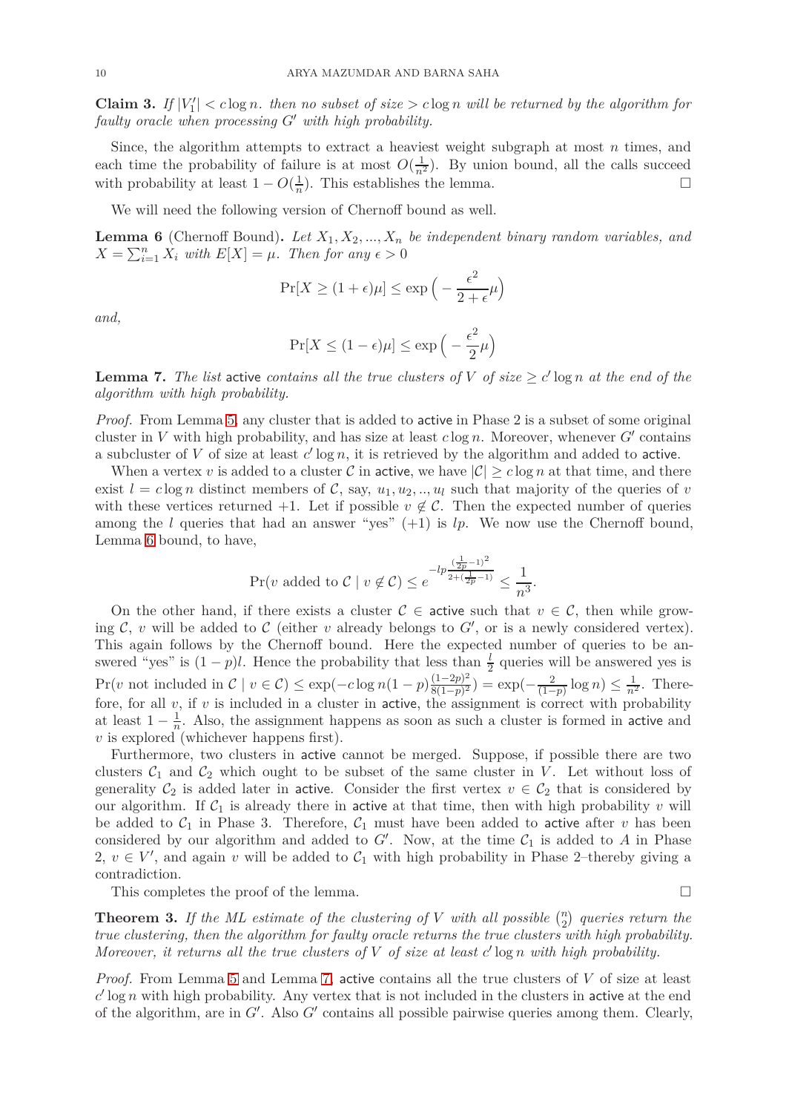<span id="page-9-3"></span>**Claim 3.** If  $|V_1'| < c \log n$ , then no subset of size  $> c \log n$  will be returned by the algorithm for *faulty oracle when processing G*′ *with high probability.*

Since, the algorithm attempts to extract a heaviest weight subgraph at most *n* times, and each time the probability of failure is at most  $O(\frac{1}{n^2})$ . By union bound, all the calls succeed with probability at least  $1 - O(\frac{1}{n})$  $\frac{1}{n}$ ). This establishes the lemma.

We will need the following version of Chernoff bound as well.

<span id="page-9-2"></span>**Lemma 6** (Chernoff Bound). Let  $X_1, X_2, ..., X_n$  be independent binary random variables, and  $X = \sum_{i=1}^{n} X_i$  *with*  $E[X] = \mu$ *. Then for any*  $\epsilon > 0$ 

$$
\Pr[X \ge (1 + \epsilon)\mu] \le \exp\left(-\frac{\epsilon^2}{2 + \epsilon}\mu\right)
$$

*and,*

$$
\Pr[X \le (1 - \epsilon)\mu] \le \exp\left(-\frac{\epsilon^2}{2}\mu\right)
$$

<span id="page-9-1"></span>**Lemma 7.** *The list* active *contains all the true clusters of*  $V$  *of size*  $\geq c' \log n$  *at the end of the algorithm with high probability.*

*Proof.* From Lemma [5,](#page-8-0) any cluster that is added to active in Phase 2 is a subset of some original cluster in *V* with high probability, and has size at least *c* log *n*. Moreover, whenever *G*′ contains a subcluster of  $V$  of size at least  $c'$  log  $n$ , it is retrieved by the algorithm and added to active.

When a vertex *v* is added to a cluster C in active, we have  $|\mathcal{C}| \geq c \log n$  at that time, and there exist  $l = c \log n$  distinct members of C, say,  $u_1, u_2, \ldots, u_l$  such that majority of the queries of *v* with these vertices returned +1. Let if possible  $v \notin \mathcal{C}$ . Then the expected number of queries among the *l* queries that had an answer "yes" (+1) is *lp*. We now use the Chernoff bound, Lemma [6](#page-9-2) bound, to have,

$$
\Pr(v \text{ added to } C \mid v \notin C) \le e^{-lp \frac{(\frac{1}{2p} - 1)^2}{2 + (\frac{1}{2p} - 1)}} \le \frac{1}{n^3}.
$$

On the other hand, if there exists a cluster  $C \in \mathsf{active}$  such that  $v \in C$ , then while growing  $\mathcal{C}$ ,  $v$  will be added to  $\mathcal{C}$  (either  $v$  already belongs to  $G'$ , or is a newly considered vertex). This again follows by the Chernoff bound. Here the expected number of queries to be answered "yes" is  $(1-p)l$ . Hence the probability that less than  $\frac{l}{2}$  queries will be answered yes is Pr(*v* not included in  $C \mid v \in C$ )  $\leq$  exp( $-c \log n(1-p) \frac{(1-2p)^2}{8(1-p)^2}$  $\frac{(1-2p)^2}{(1-p)^2}$  =  $\exp(-\frac{2}{(1-p)}\log n) \leq \frac{1}{n^2}$ . Therefore, for all *v*, if *v* is included in a cluster in active, the assignment is correct with probability at least  $1 - \frac{1}{n}$  $\frac{1}{n}$ . Also, the assignment happens as soon as such a cluster is formed in active and *v* is explored (whichever happens first).

Furthermore, two clusters in active cannot be merged. Suppose, if possible there are two clusters  $C_1$  and  $C_2$  which ought to be subset of the same cluster in *V*. Let without loss of generality  $C_2$  is added later in active. Consider the first vertex  $v \in C_2$  that is considered by our algorithm. If  $C_1$  is already there in active at that time, then with high probability  $v$  will be added to  $C_1$  in Phase 3. Therefore,  $C_1$  must have been added to active after *v* has been considered by our algorithm and added to  $G'$ . Now, at the time  $\mathcal{C}_1$  is added to *A* in Phase 2,  $v \in V'$ , and again *v* will be added to  $C_1$  with high probability in Phase 2–thereby giving a contradiction.

This completes the proof of the lemma.  $\Box$ 

<span id="page-9-0"></span>**Theorem 3.** If the ML estimate of the clustering of V with all possible  $\binom{n}{2}$  queries return the *true clustering, then the algorithm for faulty oracle returns the true clusters with high probability. Moreover, it returns all the true clusters of V of size at least c* ′ log *n with high probability.*

*Proof.* From Lemma [5](#page-8-0) and Lemma [7,](#page-9-1) active contains all the true clusters of *V* of size at least  $c'$  log *n* with high probability. Any vertex that is not included in the clusters in active at the end of the algorithm, are in *G*′ . Also *G*′ contains all possible pairwise queries among them. Clearly,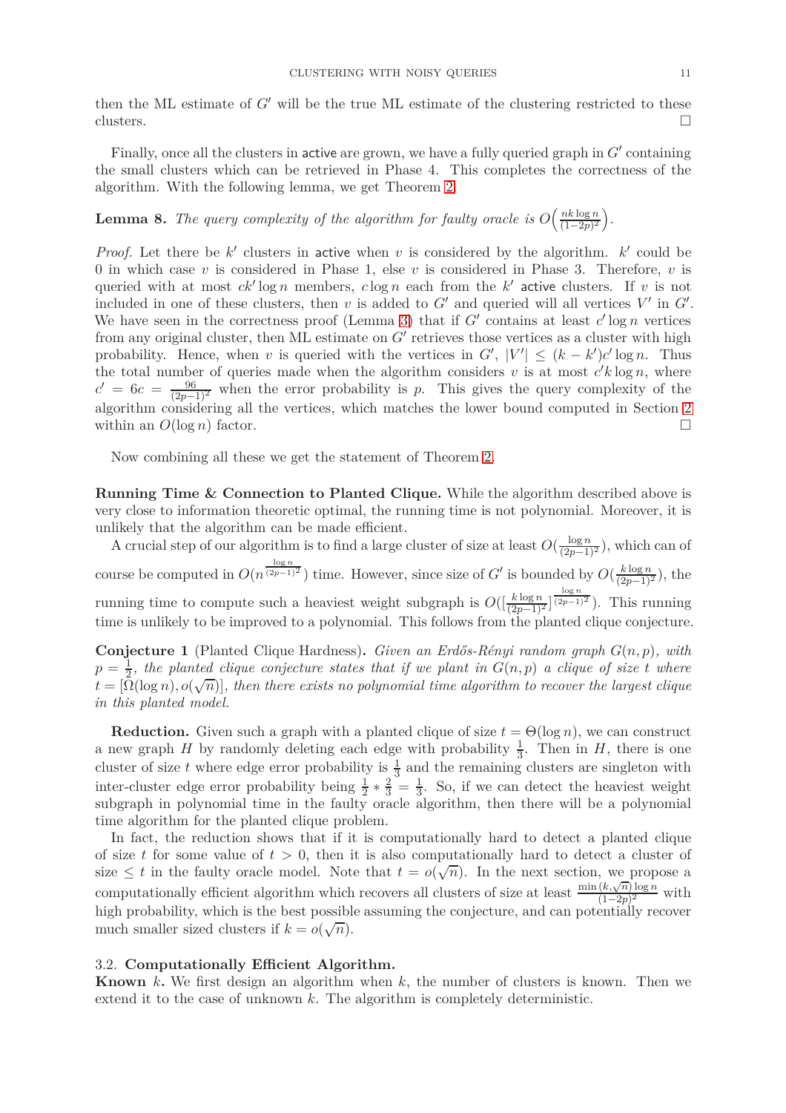then the ML estimate of *G*′ will be the true ML estimate of the clustering restricted to these clusters.  $\square$ 

Finally, once all the clusters in active are grown, we have a fully queried graph in  $G'$  containing the small clusters which can be retrieved in Phase 4. This completes the correctness of the algorithm. With the following lemma, we get Theorem [2.](#page-6-1)

#### **Lemma 8.** The query complexity of the algorithm for faulty oracle is  $O\left(\frac{nk\log n}{(1-2n)^2}\right)$  $\frac{nk \log n}{(1-2p)^2}$ .

*Proof.* Let there be  $k'$  clusters in active when *v* is considered by the algorithm.  $k'$  could be 0 in which case *v* is considered in Phase 1, else *v* is considered in Phase 3. Therefore, *v* is queried with at most *ck*′ log *n* members, *c* log *n* each from the *k* ′ active clusters. If *v* is not included in one of these clusters, then  $v$  is added to  $G'$  and queried will all vertices  $V'$  in  $G'$ . We have seen in the correctness proof (Lemma [3\)](#page-9-0) that if  $G'$  contains at least  $c'$  log *n* vertices from any original cluster, then ML estimate on *G'* retrieves those vertices as a cluster with high probability. Hence, when *v* is queried with the vertices in  $G'$ ,  $|V'| \leq (k - k')c' \log n$ . Thus the total number of queries made when the algorithm considers  $v$  is at most  $c'k \log n$ , where  $c' = 6c = \frac{96}{(2p-1)^2}$  when the error probability is *p*. This gives the query complexity of the algorithm considering all the vertices, which matches the lower bound computed in Section [2](#page-3-0) within an  $O(\log n)$  factor.

Now combining all these we get the statement of Theorem [2.](#page-6-1)

**Running Time & Connection to Planted Clique.** While the algorithm described above is very close to information theoretic optimal, the running time is not polynomial. Moreover, it is unlikely that the algorithm can be made efficient.

A crucial step of our algorithm is to find a large cluster of size at least  $O(\frac{\log n}{(2p-1)^2})$ , which can of course be computed in  $O(n^{\frac{\log n}{(2p-1)^2}})$  time. However, since size of *G*' is bounded by  $O(\frac{k \log n}{(2p-1)^2})$ , the running time to compute such a heaviest weight subgraph is  $O(\left[\frac{k \log n}{(2p-1)^2}\right]^{(2p-1)^2})$ . This running time is unlikely to be improved to a polynomial. This follows from the planted clique conjecture.

**Conjecture 1** (Planted Clique Hardness)**.** *Given an Erdős-Rényi random graph G*(*n, p*)*, with*  $p = \frac{1}{2}$  $\frac{1}{2}$ , the planted clique conjecture states that if we plant in  $G(n, p)$  a clique of size t where  $\vec{h} = [\Omega(\log n), o(\sqrt{n})]$ , then there exists no polynomial time algorithm to recover the largest clique *in this planted model.*

**Reduction.** Given such a graph with a planted clique of size  $t = \Theta(\log n)$ , we can construct a new graph *H* by randomly deleting each edge with probability  $\frac{1}{3}$ . Then in *H*, there is one cluster of size t where edge error probability is  $\frac{1}{3}$  and the remaining clusters are singleton with inter-cluster edge error probability being  $\frac{1}{2} * \frac{2}{3} = \frac{1}{3}$  $\frac{1}{3}$ . So, if we can detect the heaviest weight subgraph in polynomial time in the faulty oracle algorithm, then there will be a polynomial time algorithm for the planted clique problem.

In fact, the reduction shows that if it is computationally hard to detect a planted clique of size *t* for some value of  $t > 0$ , then it is also computationally hard to detect a cluster of size  $\leq t$  in the faulty oracle model. Note that  $t = o(\sqrt{n})$ . In the next section, we propose a computationally efficient algorithm which recovers all clusters of size at least  $\frac{\min(k,\sqrt{n})\log n}{(1-2n)^2}$  $\frac{(\kappa,\sqrt{n})\log n}{(1-2p)^2}$  with high probability, which is the best possible assuming the conjecture, and can potentially recover much smaller sized clusters if  $k = o(\sqrt{n})$ .

# <span id="page-10-0"></span>3.2. **Computationally Efficient Algorithm.**

**Known** *k***.** We first design an algorithm when *k*, the number of clusters is known. Then we extend it to the case of unknown *k*. The algorithm is completely deterministic.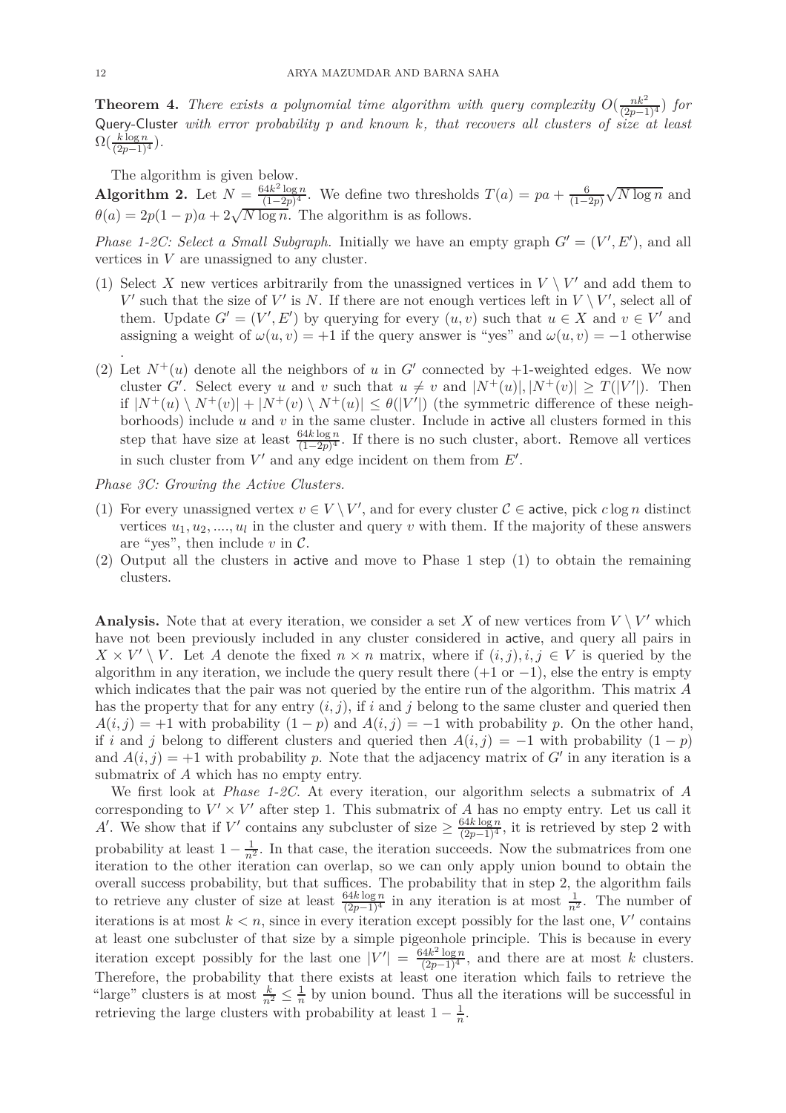<span id="page-11-0"></span>**Theorem 4.** *There exists a polynomial time algorithm with query complexity*  $O(\frac{nk^2}{(2p-1)^4})$  *for* Query-Cluster *with error probability p and known k, that recovers all clusters of size at least*  $\Omega(\frac{k \log n}{(2p-1)^4}).$ 

The algorithm is given below.

**Algorithm 2.** Let  $N = \frac{64k^2 \log n}{(1-2n)^4}$  $\frac{(1-2p)^4}{(1-2p)^4}$ . We define two thresholds  $T(a) = pa + \frac{6}{(1-2p)^4}$ . (1−2*p*)  $\sqrt{N \log n}$  and  $\theta(a) = 2p(1-p)a + 2\sqrt{N \log n}$ . The algorithm is as follows.

*Phase 1-2C: Select a Small Subgraph.* Initially we have an empty graph  $G' = (V', E')$ , and all vertices in *V* are unassigned to any cluster.

- (1) Select *X* new vertices arbitrarily from the unassigned vertices in  $V \setminus V'$  and add them to *V*<sup> $\prime$ </sup> such that the size of *V*<sup> $\prime$ </sup> is *N*. If there are not enough vertices left in *V* \ *V*<sup> $\prime$ </sup>, select all of them. Update  $G' = (V', E')$  by querying for every  $(u, v)$  such that  $u \in X$  and  $v \in V'$  and assigning a weight of  $\omega(u, v) = +1$  if the query answer is "yes" and  $\omega(u, v) = -1$  otherwise .
- (2) Let  $N^+(u)$  denote all the neighbors of *u* in G' connected by +1-weighted edges. We now cluster *G'*. Select every *u* and *v* such that  $u \neq v$  and  $|N^+(u)|, |N^+(v)| \geq T(|V'|)$ . Then if  $|N^+(u) \setminus N^+(v)| + |N^+(v) \setminus N^+(u)| \leq \theta(|V'|)$  (the symmetric difference of these neighborhoods) include *u* and *v* in the same cluster. Include in active all clusters formed in this step that have size at least  $\frac{64k \log n}{(1-2p)^4}$ . If there is no such cluster, abort. Remove all vertices in such cluster from  $V'$  and any edge incident on them from  $E'$ .

*Phase 3C: Growing the Active Clusters.*

- (1) For every unassigned vertex  $v \in V \setminus V'$ , and for every cluster  $C \in \text{active}$ , pick  $c \log n$  distinct vertices  $u_1, u_2, \ldots, u_l$  in the cluster and query *v* with them. If the majority of these answers are "yes", then include  $v$  in  $\mathcal{C}$ .
- (2) Output all the clusters in active and move to Phase 1 step (1) to obtain the remaining clusters.

**Analysis.** Note that at every iteration, we consider a set *X* of new vertices from  $V \setminus V'$  which have not been previously included in any cluster considered in active, and query all pairs in  $X \times V' \setminus V$ . Let *A* denote the fixed  $n \times n$  matrix, where if  $(i, j), i, j \in V$  is queried by the algorithm in any iteration, we include the query result there  $(+1 \text{ or } -1)$ , else the entry is empty which indicates that the pair was not queried by the entire run of the algorithm. This matrix *A* has the property that for any entry  $(i, j)$ , if  $i$  and  $j$  belong to the same cluster and queried then  $A(i, j) = +1$  with probability  $(1 - p)$  and  $A(i, j) = -1$  with probability *p*. On the other hand, if *i* and *j* belong to different clusters and queried then  $A(i, j) = -1$  with probability  $(1 - p)$ and  $A(i, j) = +1$  with probability p. Note that the adjacency matrix of  $G'$  in any iteration is a submatrix of *A* which has no empty entry.

We first look at *Phase 1-2C*. At every iteration, our algorithm selects a submatrix of *A* corresponding to  $V' \times V'$  after step 1. This submatrix of *A* has no empty entry. Let us call it A'. We show that if  $V'$  contains any subcluster of size  $\geq \frac{64k \log n}{(2p-1)^4}$ , it is retrieved by step 2 with probability at least  $1 - \frac{1}{n^2}$ . In that case, the iteration succeeds. Now the submatrices from one iteration to the other iteration can overlap, so we can only apply union bound to obtain the overall success probability, but that suffices. The probability that in step 2, the algorithm fails to retrieve any cluster of size at least  $\frac{64k\log n}{(2p-1)^4}$  in any iteration is at most  $\frac{1}{n^2}$ . The number of iterations is at most  $k < n$ , since in every iteration except possibly for the last one,  $V'$  contains at least one subcluster of that size by a simple pigeonhole principle. This is because in every iteration except possibly for the last one  $|V'| = \frac{64k^2 \log n}{(2p-1)^4}$ , and there are at most *k* clusters. Therefore, the probability that there exists at least one iteration which fails to retrieve the "large" clusters is at most  $\frac{k}{n^2} \leq \frac{1}{n}$  $\frac{1}{n}$  by union bound. Thus all the iterations will be successful in retrieving the large clusters with probability at least  $1 - \frac{1}{n}$  $\frac{1}{n}$ .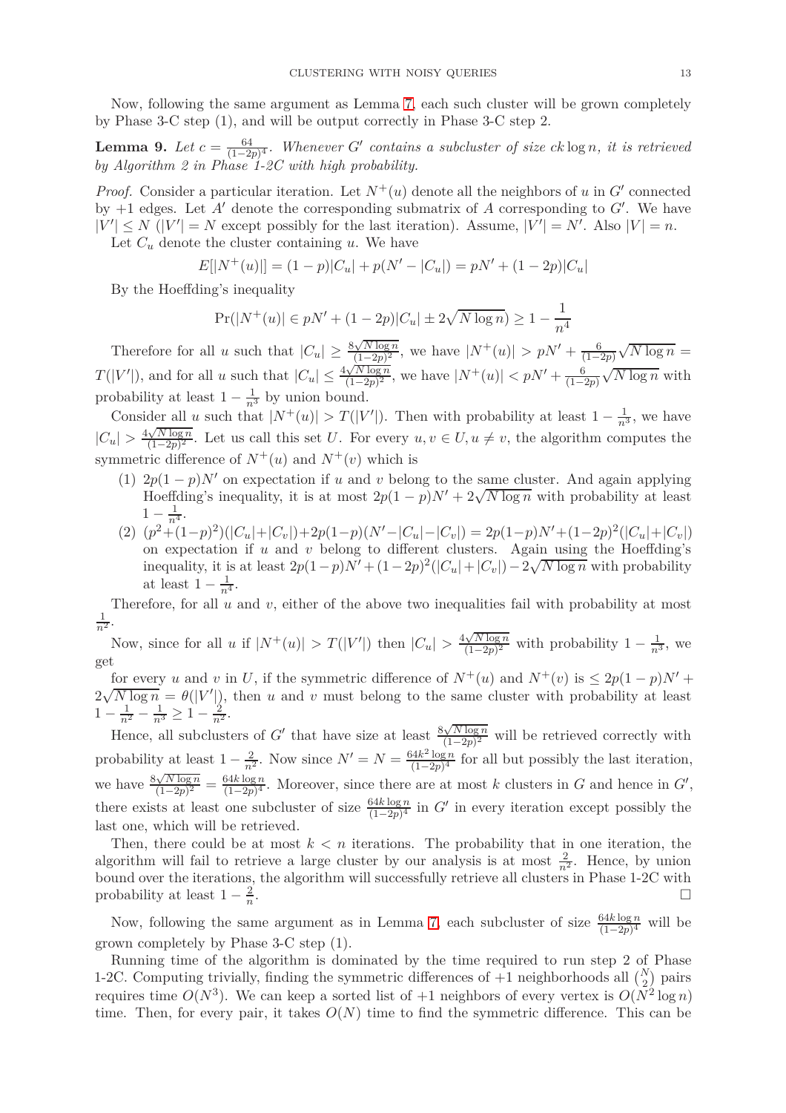Now, following the same argument as Lemma [7,](#page-9-1) each such cluster will be grown completely by Phase 3-C step (1), and will be output correctly in Phase 3-C step 2.

<span id="page-12-0"></span>**Lemma 9.** *Let*  $c = \frac{64}{(1-2p)^4}$ . Whenever *G*<sup>′</sup> *contains a subcluster of size ck* log *n, it is retrieved by Algorithm 2 in Phase 1-2C with high probability.*

*Proof.* Consider a particular iteration. Let  $N^+(u)$  denote all the neighbors of *u* in *G*<sup> $\prime$ </sup> connected by +1 edges. Let *A*′ denote the corresponding submatrix of *A* corresponding to *G*′ . We have  $|V'| \le N$  ( $|V'| = N$  except possibly for the last iteration). Assume,  $|V'| = N'$ . Also  $|V| = n$ .

Let  $C_u$  denote the cluster containing  $u$ . We have

$$
E[|N^+(u)|] = (1-p)|C_u| + p(N' - |C_u|) = pN' + (1-2p)|C_u|
$$

By the Hoeffding's inequality

$$
Pr(|N^+(u)| \in pN' + (1 - 2p)|C_u| \pm 2\sqrt{N \log n}) \ge 1 - \frac{1}{n^4}
$$

Therefore for all *u* such that  $|C_u| \ge \frac{8\sqrt{N\log n}}{(1-2p)^2}$  $\frac{\sqrt{N}\log n}{(1-2p)^2}$ , we have  $|N^+(u)| > pN' + \frac{6}{(1-2p)^2}$ (1−2*p*)  $\sqrt{N \log n} =$  $T(|V'|)$ , and for all *u* such that  $|C_u| \leq \frac{4\sqrt{N\log n}}{(1-2p)^2}$  $\frac{\sqrt{N} \log n}{(1-2p)^2}$ , we have  $|N^+(u)| < pN' + \frac{6}{(1-2p)^2}$  $\sqrt{N \log n}$  with probability at least  $1 - \frac{1}{n^3}$  by union bound.

Consider all *u* such that  $|N^+(u)| > T(|V'|)$ . Then with probability at least  $1 - \frac{1}{n^3}$ , we have  $|C_u| > \frac{4\sqrt{N\log n}}{(1-2p)^2}$  $\frac{\sqrt{N} \log n}{(1-2p)^2}$ . Let us call this set *U*. For every  $u, v \in U, u \neq v$ , the algorithm computes the symmetric difference of  $N^+(u)$  and  $N^+(v)$  which is

- (1)  $2p(1-p)N'$  on expectation if *u* and *v* belong to the same cluster. And again applying Hoeffding's inequality, it is at most  $2p(1-p)N' + 2\sqrt{N \log n}$  with probability at least  $1-\frac{1}{n^4}.$
- (2)  $(p^2 + (1-p)^2)(|C_u| + |C_v|) + 2p(1-p)(N' |C_u| |C_v|) = 2p(1-p)N' + (1-2p)^2(|C_u| + |C_v|)$ on expectation if *u* and *v* belong to different clusters. Again using the Hoeffding's inequality, it is at least  $2p(1-p)N' + (1-2p)^2(|C_u| + |C_v|) - 2\sqrt{N \log n}$  with probability at least  $1 - \frac{1}{n^4}$ .

Therefore, for all *u* and *v*, either of the above two inequalities fail with probability at most  $\frac{1}{n^2}$ .

Now, since for all *u* if  $|N^+(u)| > T(|V'|)$  then  $|C_u| > \frac{4\sqrt{N\log n}}{(1-2p)^2}$  $\frac{\sqrt{N}\log n}{(1-2p)^2}$  with probability  $1-\frac{1}{n^3}$ , we get

for every *u* and *v* in *U*, if the symmetric difference of  $N^+(u)$  and  $N^+(v)$  is  $\leq 2p(1-p)N'$  +  $2\sqrt{N\log n} = \theta(|V'|)$ , then *u* and *v* must belong to the same cluster with probability at least  $1 - \frac{1}{n^2} - \frac{1}{n^3} \ge 1 - \frac{2}{n^2}.$ 

Hence, all subclusters of *G*<sup> $\prime$ </sup> that have size at least  $\frac{8\sqrt{N\log n}}{(1-2n)^2}$  $\frac{\sqrt{N} \log n}{(1-2p)^2}$  will be retrieved correctly with probability at least  $1 - \frac{2}{n^2}$ . Now since  $N' = N = \frac{64k^2 \log n}{(1-2p)^4}$  $\frac{(1-2p)^4}{(1-2p)^4}$  for all but possibly the last iteration, we have  $\frac{8\sqrt{N\log n}}{(1-2n)^2}$  $\frac{\sqrt{N \log n}}{(1-2p)^2} = \frac{64k \log n}{(1-2p)^4}$  $\frac{64K \log n}{(1-2p)^4}$ . Moreover, since there are at most *k* clusters in *G* and hence in *G'*, there exists at least one subcluster of size  $\frac{64k \log n}{(1-2p)^4}$  in *G*' in every iteration except possibly the last one, which will be retrieved.

Then, there could be at most  $k < n$  iterations. The probability that in one iteration, the algorithm will fail to retrieve a large cluster by our analysis is at most  $\frac{2}{n^2}$ . Hence, by union bound over the iterations, the algorithm will successfully retrieve all clusters in Phase 1-2C with probability at least  $1 - \frac{2}{n}$ *n* .

Now, following the same argument as in Lemma [7,](#page-9-1) each subcluster of size  $\frac{64k \log n}{(1-2p)^4}$  will be grown completely by Phase 3-C step (1).

Running time of the algorithm is dominated by the time required to run step 2 of Phase 1-2C. Computing trivially, finding the symmetric differences of  $+1$  neighborhoods all  $\binom{N}{2}$  pairs requires time  $O(N^3)$ . We can keep a sorted list of  $+1$  neighbors of every vertex is  $O(N^2 \log n)$ time. Then, for every pair, it takes  $O(N)$  time to find the symmetric difference. This can be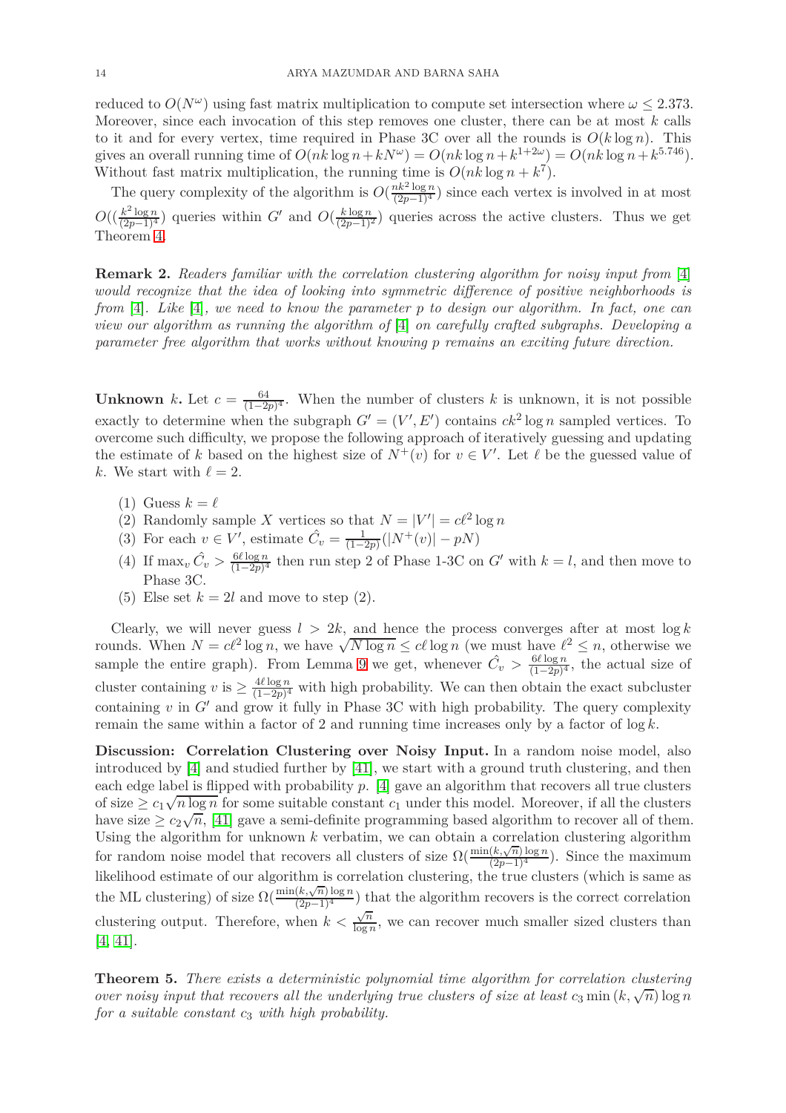reduced to  $O(N^{\omega})$  using fast matrix multiplication to compute set intersection where  $\omega \leq 2.373$ . Moreover, since each invocation of this step removes one cluster, there can be at most *k* calls to it and for every vertex, time required in Phase 3C over all the rounds is  $O(k \log n)$ . This gives an overall running time of  $O(nk \log n + kN^{\omega}) = O(nk \log n + k^{1+2\omega}) = O(nk \log n + k^{5.746})$ . Without fast matrix multiplication, the running time is  $O(nk \log n + k^7)$ .

The query complexity of the algorithm is  $O(\frac{nk^2 \log n}{(2p-1)^4})$  since each vertex is involved in at most  $O((\frac{k^2 \log n}{(2p-1)^4})$  queries within *G*′ and  $O(\frac{k \log n}{(2p-1)^2})$  queries across the active clusters. Thus we get Theorem [4.](#page-11-0)

**Remark 2.** *Readers familiar with the correlation clustering algorithm for noisy input from* [\[4\]](#page-16-9) *would recognize that the idea of looking into symmetric difference of positive neighborhoods is from* [\[4\]](#page-16-9)*. Like* [\[4\]](#page-16-9)*, we need to know the parameter p to design our algorithm. In fact, one can view our algorithm as running the algorithm of* [\[4\]](#page-16-9) *on carefully crafted subgraphs. Developing a parameter free algorithm that works without knowing p remains an exciting future direction.*

**Unknown** *k***.** Let  $c = \frac{64}{(1-2)^2}$  $\frac{64}{(1-2p)^4}$ . When the number of clusters *k* is unknown, it is not possible exactly to determine when the subgraph  $G' = (V', E')$  contains  $ck^2 \log n$  sampled vertices. To overcome such difficulty, we propose the following approach of iteratively guessing and updating the estimate of *k* based on the highest size of  $N^+(v)$  for  $v \in V'$ . Let  $\ell$  be the guessed value of *k*. We start with  $\ell = 2$ .

- $(1)$  Guess  $k = \ell$
- (2) Randomly sample *X* vertices so that  $N = |V'| = c\ell^2 \log n$
- (3) For each  $v \in V'$ , estimate  $\hat{C}_v = \frac{1}{(1 \frac{v^2}{c})^2}$  $\frac{1}{(1-2p)}(|N^+(v)| - pN)$
- $(4)$  If  $\max_v \hat{C}_v > \frac{6\ell \log n}{(1-2n)^4}$  $\frac{6\ell \log n}{(1-2p)^4}$  then run step 2 of Phase 1-3C on *G'* with  $k = l$ , and then move to Phase 3C.
- (5) Else set  $k = 2l$  and move to step (2).

Clearly, we will never guess  $l > 2k$ , and hence the process converges after at most  $\log k$ rounds. When  $N = c\ell^2 \log n$ , we have  $\sqrt{N \log n} \leq c\ell \log n$  (we must have  $\ell^2 \leq n$ , otherwise we sample the entire graph). From Lemma [9](#page-12-0) we get, whenever  $\hat{C}_v > \frac{6\ell \log n}{(1-2n)^4}$  $\frac{6\ell \log n}{(1-2p)^4}$ , the actual size of cluster containing *v* is  $\geq \frac{4\ell \log n}{(1-2p)^4}$  $\frac{4t \log n}{(1-2p)^4}$  with high probability. We can then obtain the exact subcluster containing  $v$  in  $G'$  and grow it fully in Phase 3C with high probability. The query complexity remain the same within a factor of 2 and running time increases only by a factor of log *k*.

**Discussion: Correlation Clustering over Noisy Input.** In a random noise model, also introduced by [\[4\]](#page-16-9) and studied further by [\[41\]](#page-17-16), we start with a ground truth clustering, and then each edge label is flipped with probability *p*. [\[4\]](#page-16-9) gave an algorithm that recovers all true clusters of size  $\geq c_1 \sqrt{n \log n}$  for some suitable constant  $c_1$  under this model. Moreover, if all the clusters have size  $\geq c_2\sqrt{n}$ , [\[41\]](#page-17-16) gave a semi-definite programming based algorithm to recover all of them. Using the algorithm for unknown *k* verbatim, we can obtain a correlation clustering algorithm for random noise model that recovers all clusters of size  $\Omega(\frac{\min(k,\sqrt{n})\log n}{(2p-1)^4})$ . Since the maximum likelihood estimate of our algorithm is correlation clustering, the true clusters (which is same as the ML clustering) of size  $\Omega(\frac{\min(k,\sqrt{n})\log n}{(2p-1)^4})$  that the algorithm recovers is the correct correlation clustering output. Therefore, when  $k < \frac{\sqrt{n}}{\log n}$  $\frac{\sqrt{n}}{\log n}$ , we can recover much smaller sized clusters than [\[4,](#page-16-9) [41\]](#page-17-16).

**Theorem 5.** *There exists a deterministic polynomial time algorithm for correlation clustering over noisy input that recovers all the underlying true clusters of size at least*  $c_3$  min  $(k, \sqrt{n})$  log *n for a suitable constant c*<sup>3</sup> *with high probability.*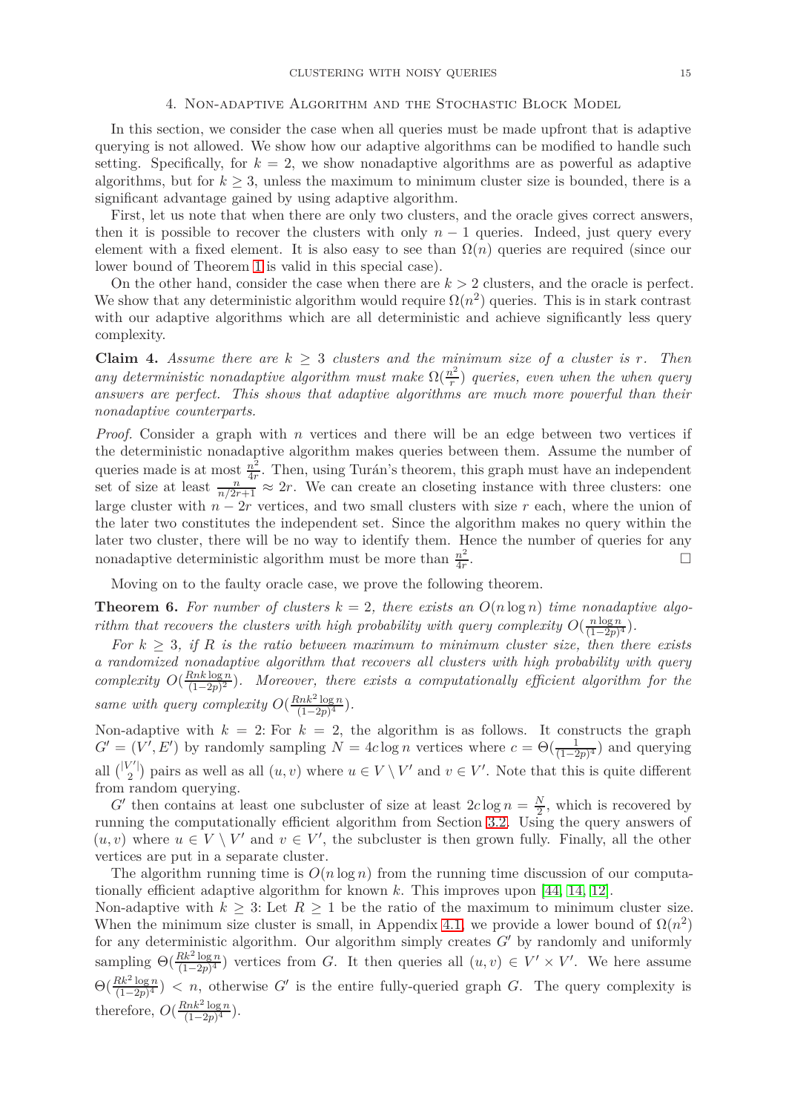### 4. Non-adaptive Algorithm and the Stochastic Block Model

<span id="page-14-0"></span>In this section, we consider the case when all queries must be made upfront that is adaptive querying is not allowed. We show how our adaptive algorithms can be modified to handle such setting. Specifically, for  $k = 2$ , we show nonadaptive algorithms are as powerful as adaptive algorithms, but for  $k \geq 3$ , unless the maximum to minimum cluster size is bounded, there is a significant advantage gained by using adaptive algorithm.

First, let us note that when there are only two clusters, and the oracle gives correct answers, then it is possible to recover the clusters with only  $n-1$  queries. Indeed, just query every element with a fixed element. It is also easy to see than  $\Omega(n)$  queries are required (since our lower bound of Theorem [1](#page-3-1) is valid in this special case).

On the other hand, consider the case when there are  $k > 2$  clusters, and the oracle is perfect. We show that any deterministic algorithm would require  $\Omega(n^2)$  queries. This is in stark contrast with our adaptive algorithms which are all deterministic and achieve significantly less query complexity.

**Claim 4.** Assume there are  $k \geq 3$  *clusters and the minimum size of a cluster is r. Then any deterministic nonadaptive algorithm must make*  $\Omega(\frac{n^2}{r})$  $\binom{n^2}{r}$  queries, even when the when query *answers are perfect. This shows that adaptive algorithms are much more powerful than their nonadaptive counterparts.*

*Proof.* Consider a graph with *n* vertices and there will be an edge between two vertices if the deterministic nonadaptive algorithm makes queries between them. Assume the number of queries made is at most  $\frac{n^2}{4r}$  $\frac{n^2}{4r}$ . Then, using Turán's theorem, this graph must have an independent set of size at least  $\frac{n}{n/2r+1} \approx 2r$ . We can create an closeting instance with three clusters: one large cluster with  $n - 2r$  vertices, and two small clusters with size r each, where the union of the later two constitutes the independent set. Since the algorithm makes no query within the later two cluster, there will be no way to identify them. Hence the number of queries for any nonadaptive deterministic algorithm must be more than  $\frac{n^2}{4r}$ 4*r* .

Moving on to the faulty oracle case, we prove the following theorem.

<span id="page-14-1"></span>**Theorem 6.** For number of clusters  $k = 2$ , there exists an  $O(n \log n)$  time nonadaptive algo*rithm that recovers the clusters with high probability with query complexity*  $O(\frac{n \log n}{(1-n)^2})$  $\frac{n \log n}{(1-2p)^4}$ ).

*For*  $k \geq 3$ , if R is the ratio between maximum to minimum cluster size, then there exists *a randomized nonadaptive algorithm that recovers all clusters with high probability with query complexity*  $O(\frac{Rnk \log n}{(1-2n)^2})$  $\frac{\sin k \log n}{(1-2p)^2}$ ). Moreover, there exists a computationally efficient algorithm for the *same with query complexity*  $O(\frac{Rnk^2\log n}{(1-2n)^4})$  $\frac{(nk^2 \log n)}{(1-2p)^4}$ .

Non-adaptive with  $k = 2$ : For  $k = 2$ , the algorithm is as follows. It constructs the graph  $G' = (V', E')$  by randomly sampling  $N = 4c \log n$  vertices where  $c = \Theta(\frac{1}{(1-2p)^4})$  and querying all  $\binom{|V'|}{2}$  pairs as well as all  $(u, v)$  where  $u \in V \setminus V'$  and  $v \in V'$ . Note that this is quite different from random querying.

*G*<sup> $\prime$ </sup> then contains at least one subcluster of size at least  $2c \log n = \frac{N}{2}$  $\frac{N}{2}$ , which is recovered by running the computationally efficient algorithm from Section [3.2.](#page-10-0) Using the query answers of  $(u, v)$  where  $u \in V \setminus V'$  and  $v \in V'$ , the subcluster is then grown fully. Finally, all the other vertices are put in a separate cluster.

The algorithm running time is  $O(n \log n)$  from the running time discussion of our computationally efficient adaptive algorithm for known *k*. This improves upon [44, [14,](#page-16-8) [12\]](#page-16-7).

Non-adaptive with  $k \geq 3$ : Let  $R \geq 1$  be the ratio of the maximum to minimum cluster size. When the minimum size cluster is small, in Appendix [4.1,](#page-15-0) we provide a lower bound of  $\Omega(n^2)$ for any deterministic algorithm. Our algorithm simply creates *G*′ by randomly and uniformly sampling  $\Theta(\frac{Rk^2\log n}{(1-2n)^4})$  $\frac{K}{(1-2p)^4}$  vertices from *G*. It then queries all  $(u, v) \in V' \times V'$ . We here assume  $\Theta\left(\frac{Rk^2\log n}{(1-2n)^4}\right)$  $\frac{4k^2 \log n}{(1-2p)^4}$  < *n*, otherwise *G*′ is the entire fully-queried graph *G*. The query complexity is therefore,  $O(\frac{Rnk^2\log n}{(1-2n)^4})$  $\frac{(nk^2 \log n)}{(1-2p)^4}$ .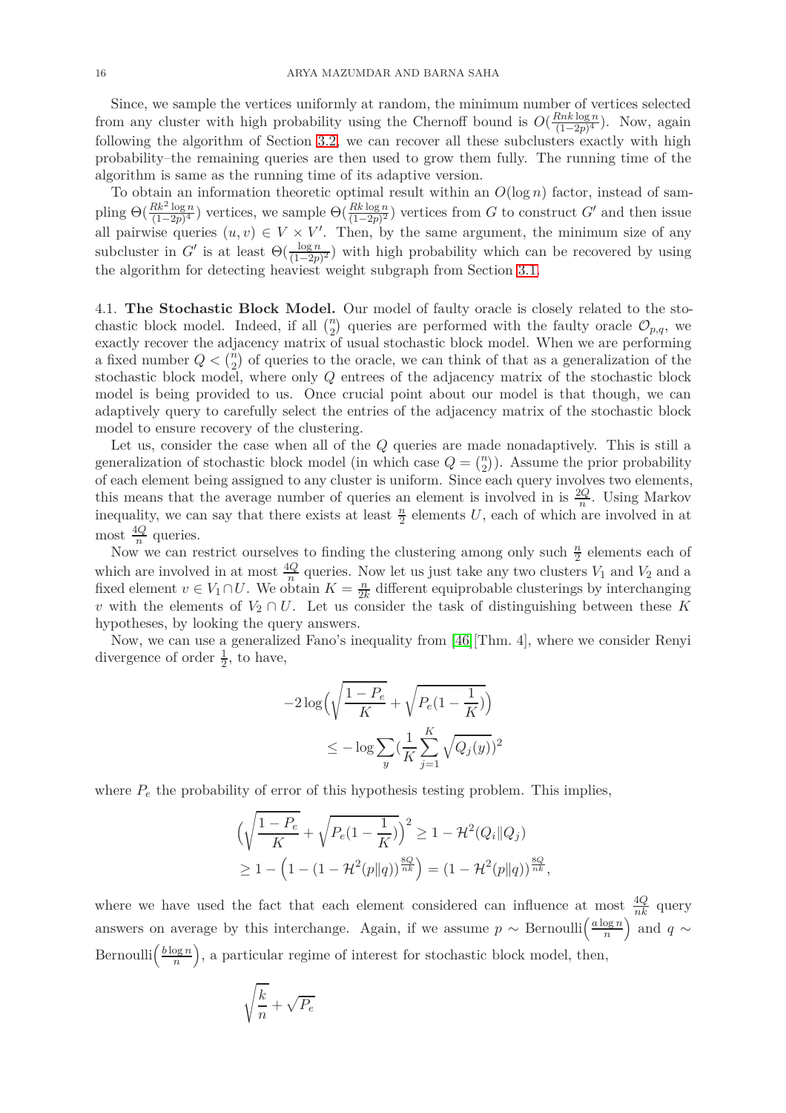Since, we sample the vertices uniformly at random, the minimum number of vertices selected from any cluster with high probability using the Chernoff bound is  $O(\frac{Rnk\log n}{(1-2n)^4})$  $\frac{\tan k \log n}{(1-2p)^4}$ ). Now, again following the algorithm of Section [3.2,](#page-10-0) we can recover all these subclusters exactly with high probability–the remaining queries are then used to grow them fully. The running time of the algorithm is same as the running time of its adaptive version.

To obtain an information theoretic optimal result within an *O*(log *n*) factor, instead of sampling  $\Theta(\frac{Rk^2\log n}{(1-2n)^4})$  $\frac{Rk^2 \log n}{(1-p)^4}$  vertices, we sample  $\Theta(\frac{Rk \log n}{(1-p)^2})$  vertices from *G* to construct *G*<sup>'</sup> and then issue all pairwise queries  $(u, v) \in V \times V'$ . Then, by the same argument, the minimum size of any subcluster in  $G'$  is at least  $\Theta(\frac{\log n}{(1-2p)^2})$  with high probability which can be recovered by using the algorithm for detecting heaviest weight subgraph from Section [3.1.](#page-6-2)

<span id="page-15-0"></span>4.1. **The Stochastic Block Model.** Our model of faulty oracle is closely related to the stochastic block model. Indeed, if all  $\binom{n}{2}$  queries are performed with the faulty oracle  $\mathcal{O}_{p,q}$ , we exactly recover the adjacency matrix of usual stochastic block model. When we are performing a fixed number  $Q < \binom{n}{2}$  of queries to the oracle, we can think of that as a generalization of the stochastic block model, where only *Q* entrees of the adjacency matrix of the stochastic block model is being provided to us. Once crucial point about our model is that though, we can adaptively query to carefully select the entries of the adjacency matrix of the stochastic block model to ensure recovery of the clustering.

Let us, consider the case when all of the *Q* queries are made nonadaptively. This is still a generalization of stochastic block model (in which case  $Q = \binom{n}{2}$ ). Assume the prior probability of each element being assigned to any cluster is uniform. Since each query involves two elements, this means that the average number of queries an element is involved in is  $\frac{2Q}{n}$ . Using Markov inequality, we can say that there exists at least  $\frac{n}{2}$  elements U, each of which are involved in at most  $\frac{4Q}{n}$  queries.

Now we can restrict ourselves to finding the clustering among only such  $\frac{n}{2}$  elements each of which are involved in at most  $\frac{4Q}{n}$  queries. Now let us just take any two clusters  $V_1$  and  $V_2$  and a fixed element  $v \in V_1 \cap U$ . We obtain  $K = \frac{n}{2k}$  $\frac{n}{2k}$  different equiprobable clusterings by interchanging *v* with the elements of  $V_2 \cap U$ . Let us consider the task of distinguishing between these K hypotheses, by looking the query answers.

Now, we can use a generalized Fano's inequality from [\[46\]](#page-18-5)[Thm. 4], where we consider Renyi divergence of order  $\frac{1}{2}$ , to have,

$$
-2\log\Big(\sqrt{\frac{1-P_e}{K}} + \sqrt{P_e(1-\frac{1}{K})}\Big)
$$
  

$$
\leq -\log\sum_{y} \left(\frac{1}{K}\sum_{j=1}^{K} \sqrt{Q_j(y)}\right)^2
$$

where  $P_e$  the probability of error of this hypothesis testing problem. This implies,

$$
\left(\sqrt{\frac{1-P_e}{K}} + \sqrt{P_e(1-\frac{1}{K})}\right)^2 \ge 1 - \mathcal{H}^2(Q_i||Q_j)
$$
  
 
$$
\ge 1 - \left(1 - (1 - \mathcal{H}^2(p||q))^{\frac{8Q}{nk}}\right) = \left(1 - \mathcal{H}^2(p||q)\right)^{\frac{8Q}{nk}},
$$

where we have used the fact that each element considered can influence at most  $\frac{4Q}{nk}$  query answers on average by this interchange. Again, if we assume  $p \sim \text{Bernoulli}\left(\frac{a \log n}{n}\right)$  $\left(\frac{\log n}{n}\right)$  and *q* ∼ Bernoulli $\left(\frac{b \log n}{n}\right)$  $\left(\frac{\log n}{n}\right)$ , a particular regime of interest for stochastic block model, then,

$$
\sqrt{\frac{k}{n}}+\sqrt{P_e}
$$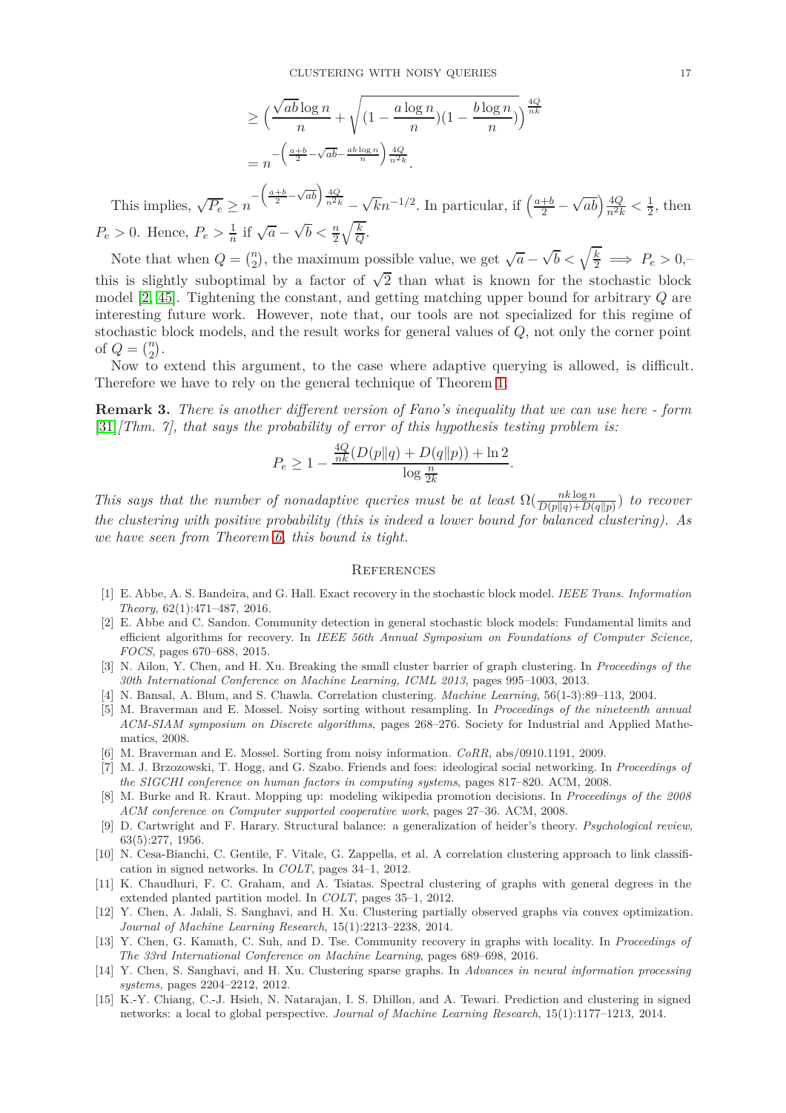$$
\geq \left(\frac{\sqrt{ab}\log n}{n} + \sqrt{\left(1 - \frac{a\log n}{n}\right)\left(1 - \frac{b\log n}{n}\right)}\right)^{\frac{4Q}{nk}}
$$

$$
= n^{-\left(\frac{a+b}{2} - \sqrt{ab} - \frac{ab\log n}{n}\right)\frac{4Q}{n^2k}}.
$$

This implies,  $\sqrt{P_e} \ge n^{-\left(\frac{a+b}{2} - \sqrt{ab}\right)\frac{4Q}{n^2k}} - \sqrt{k}n^{-1/2}$ . In particular, if  $\left(\frac{a+b}{2} - \sqrt{b}\right)n^{-1/2}$ .  $\sqrt{ab}$   $\frac{4Q}{n^2k} < \frac{1}{2}$ , then  $P_e > 0$ . Hence,  $P_e > \frac{1}{n}$  if  $\sqrt{a} - \sqrt{b} < \frac{n}{2} \sqrt{\frac{k}{Q}}$ .

Note that when  $Q = \binom{n}{2}$ , the maximum possible value, we get  $\sqrt{a} - \sqrt{b} < \sqrt{\frac{k}{2}} \implies P_e > 0$ , this is slightly suboptimal by a factor of  $\sqrt{2}$  than what is known for the stochastic block model [2, [45\]](#page-17-22). Tightening the constant, and getting matching upper bound for arbitrary *Q* are interesting future work. However, note that, our tools are not specialized for this regime of stochastic block models, and the result works for general values of *Q*, not only the corner point of  $Q = \binom{n}{2}$ .

Now to extend this argument, to the case where adaptive querying is allowed, is difficult. Therefore we have to rely on the general technique of Theorem [1.](#page-3-1)

**Remark 3.** *There is another different version of Fano's inequality that we can use here - form* [\[31\]](#page-17-27)*[Thm. 7], that says the probability of error of this hypothesis testing problem is:*

$$
P_e \ge 1 - \frac{\frac{4Q}{nk}(D(p||q) + D(q||p)) + \ln 2}{\log \frac{n}{2k}}.
$$

*This says that the number of nonadaptive queries must be at least*  $\Omega(\frac{n k \log n}{D(p||q) + D(q||p)})$  *to recover the clustering with positive probability (this is indeed a lower bound for balanced clustering). As we have seen from Theorem [6,](#page-14-1) this bound is tight.*

#### **REFERENCES**

- <span id="page-16-10"></span>[1] E. Abbe, A. S. Bandeira, and G. Hall. Exact recovery in the stochastic block model. *IEEE Trans. Information Theory*, 62(1):471–487, 2016.
- [2] E. Abbe and C. Sandon. Community detection in general stochastic block models: Fundamental limits and efficient algorithms for recovery. In *IEEE 56th Annual Symposium on Foundations of Computer Science, FOCS*, pages 670–688, 2015.
- [3] N. Ailon, Y. Chen, and H. Xu. Breaking the small cluster barrier of graph clustering. In *Proceedings of the 30th International Conference on Machine Learning, ICML 2013*, pages 995–1003, 2013.
- <span id="page-16-9"></span><span id="page-16-0"></span>[4] N. Bansal, A. Blum, and S. Chawla. Correlation clustering. *Machine Learning*, 56(1-3):89–113, 2004.
- [5] M. Braverman and E. Mossel. Noisy sorting without resampling. In *Proceedings of the nineteenth annual ACM-SIAM symposium on Discrete algorithms*, pages 268–276. Society for Industrial and Applied Mathematics, 2008.
- <span id="page-16-3"></span><span id="page-16-1"></span>[6] M. Braverman and E. Mossel. Sorting from noisy information. *CoRR*, abs/0910.1191, 2009.
- [7] M. J. Brzozowski, T. Hogg, and G. Szabo. Friends and foes: ideological social networking. In *Proceedings of the SIGCHI conference on human factors in computing systems*, pages 817–820. ACM, 2008.
- <span id="page-16-2"></span>[8] M. Burke and R. Kraut. Mopping up: modeling wikipedia promotion decisions. In *Proceedings of the 2008 ACM conference on Computer supported cooperative work*, pages 27–36. ACM, 2008.
- <span id="page-16-4"></span>[9] D. Cartwright and F. Harary. Structural balance: a generalization of heider's theory. *Psychological review*, 63(5):277, 1956.
- <span id="page-16-6"></span>[10] N. Cesa-Bianchi, C. Gentile, F. Vitale, G. Zappella, et al. A correlation clustering approach to link classification in signed networks. In *COLT*, pages 34–1, 2012.
- <span id="page-16-12"></span>[11] K. Chaudhuri, F. C. Graham, and A. Tsiatas. Spectral clustering of graphs with general degrees in the extended planted partition model. In *COLT*, pages 35–1, 2012.
- <span id="page-16-7"></span>[12] Y. Chen, A. Jalali, S. Sanghavi, and H. Xu. Clustering partially observed graphs via convex optimization. *Journal of Machine Learning Research*, 15(1):2213–2238, 2014.
- <span id="page-16-11"></span>[13] Y. Chen, G. Kamath, C. Suh, and D. Tse. Community recovery in graphs with locality. In *Proceedings of The 33rd International Conference on Machine Learning*, pages 689–698, 2016.
- <span id="page-16-8"></span>[14] Y. Chen, S. Sanghavi, and H. Xu. Clustering sparse graphs. In *Advances in neural information processing systems*, pages 2204–2212, 2012.
- <span id="page-16-5"></span>[15] K.-Y. Chiang, C.-J. Hsieh, N. Natarajan, I. S. Dhillon, and A. Tewari. Prediction and clustering in signed networks: a local to global perspective. *Journal of Machine Learning Research*, 15(1):1177–1213, 2014.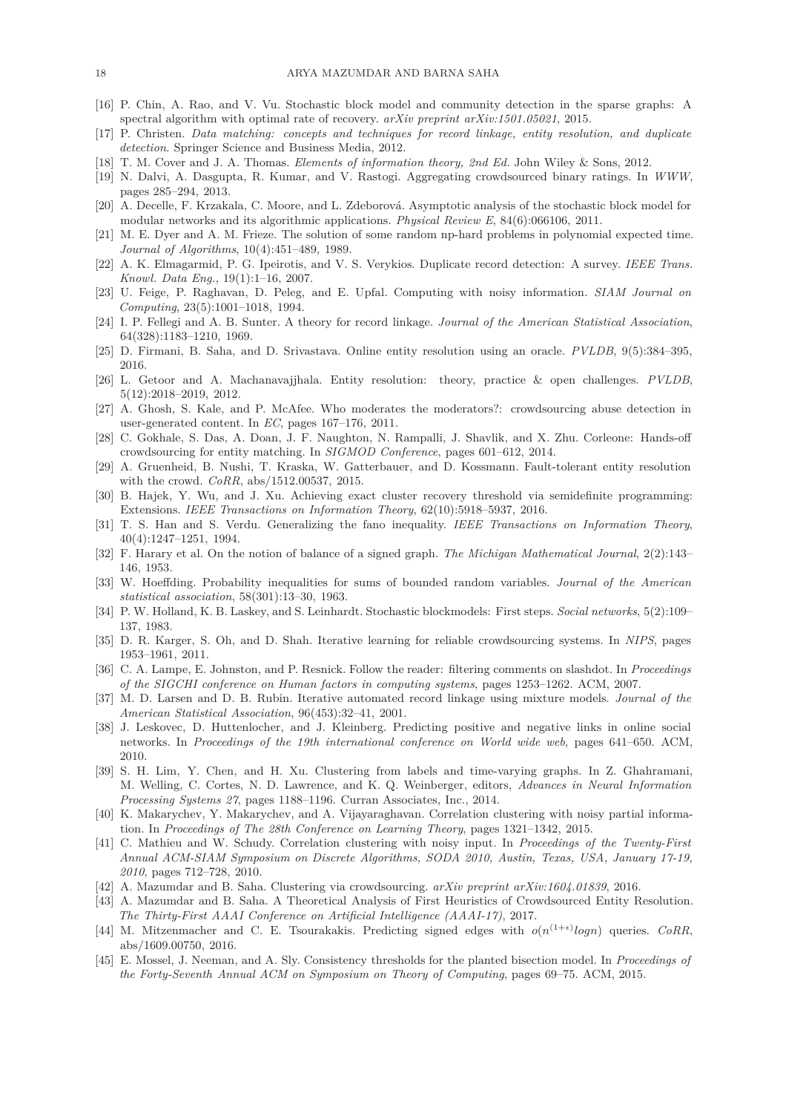- <span id="page-17-21"></span><span id="page-17-5"></span>[16] P. Chin, A. Rao, and V. Vu. Stochastic block model and community detection in the sparse graphs: A spectral algorithm with optimal rate of recovery. *arXiv preprint arXiv:1501.05021*, 2015.
- <span id="page-17-24"></span>[17] P. Christen. *Data matching: concepts and techniques for record linkage, entity resolution, and duplicate detection*. Springer Science and Business Media, 2012.
- <span id="page-17-9"></span>[18] T. M. Cover and J. A. Thomas. *Elements of information theory, 2nd Ed.* John Wiley & Sons, 2012.
- <span id="page-17-19"></span>[19] N. Dalvi, A. Dasgupta, R. Kumar, and V. Rastogi. Aggregating crowdsourced binary ratings. In *WWW*, pages 285–294, 2013.
- <span id="page-17-18"></span>[20] A. Decelle, F. Krzakala, C. Moore, and L. Zdeborová. Asymptotic analysis of the stochastic block model for modular networks and its algorithmic applications. *Physical Review E*, 84(6):066106, 2011.
- <span id="page-17-2"></span>[21] M. E. Dyer and A. M. Frieze. The solution of some random np-hard problems in polynomial expected time. *Journal of Algorithms*, 10(4):451–489, 1989.
- [22] A. K. Elmagarmid, P. G. Ipeirotis, and V. S. Verykios. Duplicate record detection: A survey. *IEEE Trans. Knowl. Data Eng.*, 19(1):1–16, 2007.
- <span id="page-17-0"></span>[23] U. Feige, P. Raghavan, D. Peleg, and E. Upfal. Computing with noisy information. *SIAM Journal on Computing*, 23(5):1001–1018, 1994.
- <span id="page-17-8"></span><span id="page-17-1"></span>[24] I. P. Fellegi and A. B. Sunter. A theory for record linkage. *Journal of the American Statistical Association*, 64(328):1183–1210, 1969.
- <span id="page-17-3"></span>[25] D. Firmani, B. Saha, and D. Srivastava. Online entity resolution using an oracle. *PVLDB*, 9(5):384–395, 2016.
- [26] L. Getoor and A. Machanavajjhala. Entity resolution: theory, practice & open challenges. *PVLDB*, 5(12):2018–2019, 2012.
- <span id="page-17-10"></span>[27] A. Ghosh, S. Kale, and P. McAfee. Who moderates the moderators?: crowdsourcing abuse detection in user-generated content. In *EC*, pages 167–176, 2011.
- <span id="page-17-7"></span>[28] C. Gokhale, S. Das, A. Doan, J. F. Naughton, N. Rampalli, J. Shavlik, and X. Zhu. Corleone: Hands-off crowdsourcing for entity matching. In *SIGMOD Conference*, pages 601–612, 2014.
- [29] A. Gruenheid, B. Nushi, T. Kraska, W. Gatterbauer, and D. Kossmann. Fault-tolerant entity resolution with the crowd. *CoRR*, abs/1512.00537, 2015.
- <span id="page-17-20"></span>[30] B. Hajek, Y. Wu, and J. Xu. Achieving exact cluster recovery threshold via semidefinite programming: Extensions. *IEEE Transactions on Information Theory*, 62(10):5918–5937, 2016.
- <span id="page-17-27"></span>[31] T. S. Han and S. Verdu. Generalizing the fano inequality. *IEEE Transactions on Information Theory*, 40(4):1247–1251, 1994.
- <span id="page-17-15"></span>[32] F. Harary et al. On the notion of balance of a signed graph. *The Michigan Mathematical Journal*, 2(2):143– 146, 1953.
- <span id="page-17-26"></span>[33] W. Hoeffding. Probability inequalities for sums of bounded random variables. *Journal of the American statistical association*, 58(301):13–30, 1963.
- <span id="page-17-17"></span>[34] P. W. Holland, K. B. Laskey, and S. Leinhardt. Stochastic blockmodels: First steps. *Social networks*, 5(2):109– 137, 1983.
- <span id="page-17-11"></span>[35] D. R. Karger, S. Oh, and D. Shah. Iterative learning for reliable crowdsourcing systems. In *NIPS*, pages 1953–1961, 2011.
- <span id="page-17-14"></span>[36] C. A. Lampe, E. Johnston, and P. Resnick. Follow the reader: filtering comments on slashdot. In *Proceedings of the SIGCHI conference on Human factors in computing systems*, pages 1253–1262. ACM, 2007.
- <span id="page-17-4"></span>[37] M. D. Larsen and D. B. Rubin. Iterative automated record linkage using mixture models. *Journal of the American Statistical Association*, 96(453):32–41, 2001.
- <span id="page-17-13"></span>[38] J. Leskovec, D. Huttenlocher, and J. Kleinberg. Predicting positive and negative links in online social networks. In *Proceedings of the 19th international conference on World wide web*, pages 641–650. ACM, 2010.
- <span id="page-17-23"></span>[39] S. H. Lim, Y. Chen, and H. Xu. Clustering from labels and time-varying graphs. In Z. Ghahramani, M. Welling, C. Cortes, N. D. Lawrence, and K. Q. Weinberger, editors, *Advances in Neural Information Processing Systems 27*, pages 1188–1196. Curran Associates, Inc., 2014.
- <span id="page-17-25"></span>[40] K. Makarychev, Y. Makarychev, and A. Vijayaraghavan. Correlation clustering with noisy partial information. In *Proceedings of The 28th Conference on Learning Theory*, pages 1321–1342, 2015.
- <span id="page-17-16"></span>[41] C. Mathieu and W. Schudy. Correlation clustering with noisy input. In *Proceedings of the Twenty-First Annual ACM-SIAM Symposium on Discrete Algorithms, SODA 2010, Austin, Texas, USA, January 17-19, 2010*, pages 712–728, 2010.
- <span id="page-17-12"></span><span id="page-17-6"></span>[42] A. Mazumdar and B. Saha. Clustering via crowdsourcing. *arXiv preprint arXiv:1604.01839*, 2016.
- [43] A. Mazumdar and B. Saha. A Theoretical Analysis of First Heuristics of Crowdsourced Entity Resolution. *The Thirty-First AAAI Conference on Artificial Intelligence (AAAI-17)*, 2017.
- [44] M. Mitzenmacher and C. E. Tsourakakis. Predicting signed edges with  $o(n^{(1+\epsilon)}logn)$  queries. *CoRR*, abs/1609.00750, 2016.
- <span id="page-17-22"></span>[45] E. Mossel, J. Neeman, and A. Sly. Consistency thresholds for the planted bisection model. In *Proceedings of the Forty-Seventh Annual ACM on Symposium on Theory of Computing*, pages 69–75. ACM, 2015.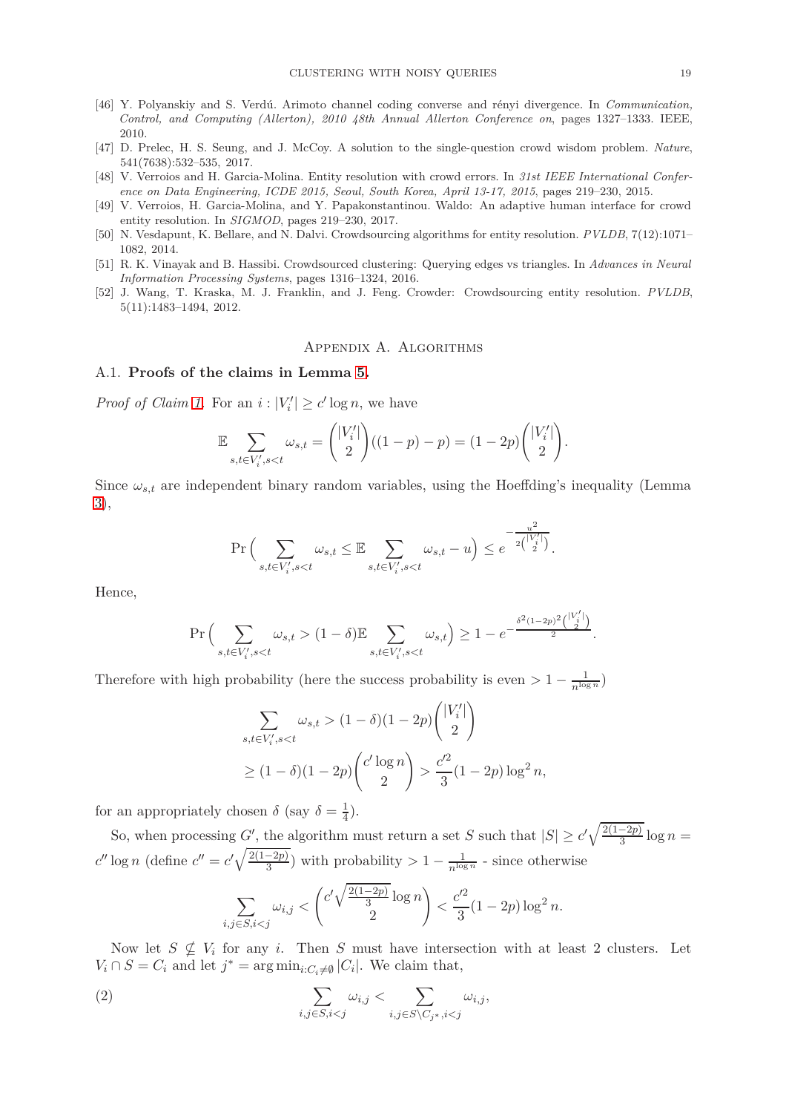- <span id="page-18-5"></span>[46] Y. Polyanskiy and S. Verdú. Arimoto channel coding converse and rényi divergence. In *Communication, Control, and Computing (Allerton), 2010 48th Annual Allerton Conference on*, pages 1327–1333. IEEE, 2010.
- <span id="page-18-2"></span>[47] D. Prelec, H. S. Seung, and J. McCoy. A solution to the single-question crowd wisdom problem. *Nature*, 541(7638):532–535, 2017.
- [48] V. Verroios and H. Garcia-Molina. Entity resolution with crowd errors. In *31st IEEE International Conference on Data Engineering, ICDE 2015, Seoul, South Korea, April 13-17, 2015*, pages 219–230, 2015.
- <span id="page-18-0"></span>[49] V. Verroios, H. Garcia-Molina, and Y. Papakonstantinou. Waldo: An adaptive human interface for crowd entity resolution. In *SIGMOD*, pages 219–230, 2017.
- <span id="page-18-3"></span>[50] N. Vesdapunt, K. Bellare, and N. Dalvi. Crowdsourcing algorithms for entity resolution. *PVLDB*, 7(12):1071– 1082, 2014.
- [51] R. K. Vinayak and B. Hassibi. Crowdsourced clustering: Querying edges vs triangles. In *Advances in Neural Information Processing Systems*, pages 1316–1324, 2016.
- <span id="page-18-4"></span><span id="page-18-1"></span>[52] J. Wang, T. Kraska, M. J. Franklin, and J. Feng. Crowder: Crowdsourcing entity resolution. *PVLDB*, 5(11):1483–1494, 2012.

### Appendix A. Algorithms

### A.1. **Proofs of the claims in Lemma [5.](#page-8-0)**

*Proof of Claim [1.](#page-8-1)* For an  $i: |V'_i| \ge c' \log n$ , we have

$$
\mathbb{E} \sum_{s,t \in V'_i, s < t} \omega_{s,t} = \binom{|V'_i|}{2} ((1-p) - p) = (1-2p) \binom{|V'_i|}{2}.
$$

Since  $\omega_{s,t}$  are independent binary random variables, using the Hoeffding's inequality (Lemma [3\)](#page-8-2),

$$
\Pr\Big(\sum_{s,t\in V'_i,s
$$

Hence,

$$
\Pr\Big(\sum_{s,t\in V'_i,s(1-\delta)\mathbb{E}\sum_{s,t\in V'_i,s
$$

Therefore with high probability (here the success probability is even  $> 1 - \frac{1}{n^{\log n}}$ )

$$
\sum_{s,t \in V'_i, s < t} \omega_{s,t} > (1 - \delta)(1 - 2p) \binom{|V'_i|}{2}
$$
\n
$$
\geq (1 - \delta)(1 - 2p) \binom{c' \log n}{2} > \frac{c'^2}{3} (1 - 2p) \log^2 n,
$$

for an appropriately chosen  $\delta$  (say  $\delta = \frac{1}{4}$ )  $\frac{1}{4}$ .

So, when processing *G*<sup>'</sup>, the algorithm must return a set *S* such that  $|S| \ge c' \sqrt{\frac{2(1-2p)}{3}} \log n =$  $c''$  log *n* (define  $c'' = c' \sqrt{\frac{2(1-2p)}{3}}$ ) with probability  $> 1 - \frac{1}{n^{\log n}}$  - since otherwise  $\sqrt{2}$ *c* ′  $\sqrt{\frac{2(1-2p)}{2}}$ log *n*  $\setminus$ *c*  $\frac{1}{2}$ 

<span id="page-18-6"></span>
$$
\sum_{i,j \in S, i < j} \omega_{i,j} < \binom{c' \sqrt{\frac{2(1-2p)}{3} \log n}}{2} < \frac{c'^2}{3} (1 - 2p) \log^2 n.
$$

Now let  $S \nsubseteq V_i$  for any *i*. Then *S* must have intersection with at least 2 clusters. Let  $V_i \cap S = C_i$  and let  $j^* = \arg \min_{i:C_i \neq \emptyset} |C_i|$ . We claim that,

(2) 
$$
\sum_{i,j \in S, i < j} \omega_{i,j} < \sum_{i,j \in S \setminus C_{j^*}, i < j} \omega_{i,j},
$$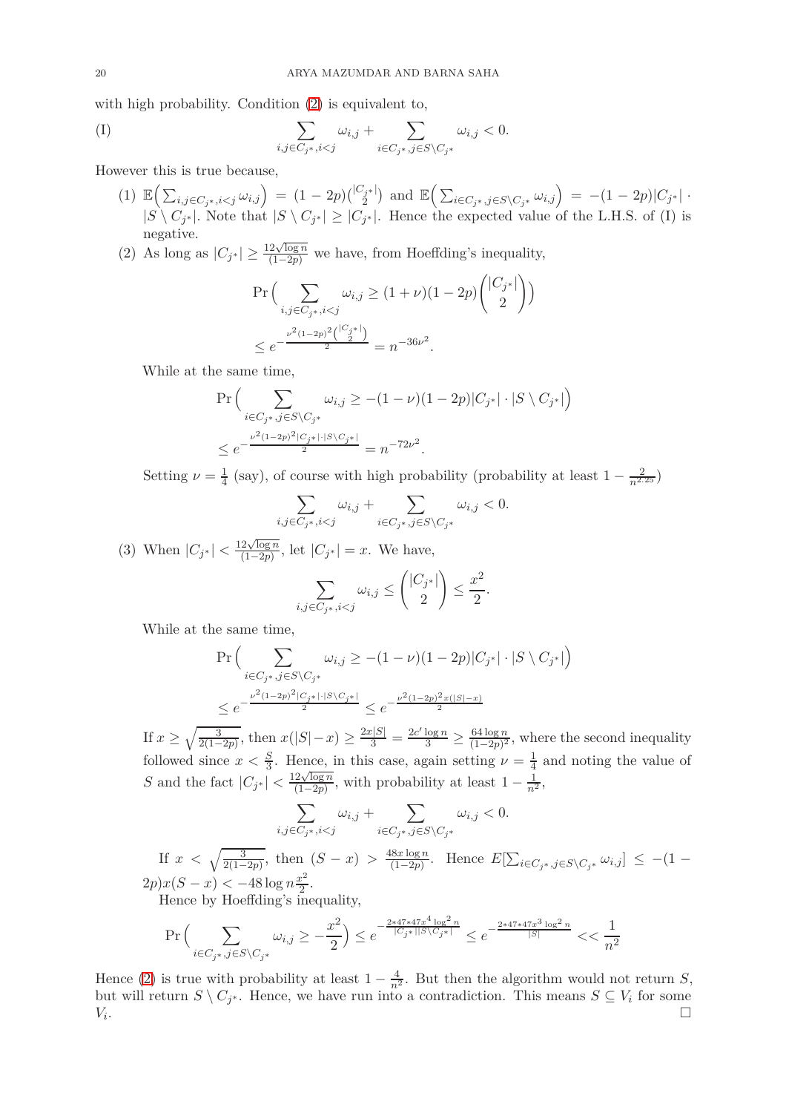with high probability. Condition [\(2\)](#page-18-6) is equivalent to,

$$
(I) \qquad \qquad \sum_{i,j \in C_{j^*}, i < j} \omega_{i,j} + \sum_{i \in C_{j^*}, j \in S \setminus C_{j^*}} \omega_{i,j} < 0.
$$

However this is true because,

- (1)  $\mathbb{E}\Big(\sum_{i,j\in C_{j^*},i and  $\mathbb{E}\Big(\sum_{i\in C_{j^*},j\in S\setminus C_{j^*}}\omega_{i,j}\Big) = -(1-2p)|C_{j^*}|$ .$  $|S \setminus C_{j^*}|$ . Note that  $|S \setminus C_{j^*}| \geq |C_{j^*}|$ . Hence the expected value of the L.H.S. of (I) is negative.
- (2) As long as  $|C_{j^*}| \geq \frac{12\sqrt{\log n}}{(1-2p)}$  we have, from Hoeffding's inequality,

$$
\Pr\Big(\sum_{i,j\in C_{j^*}, i  

$$
\le e^{-\frac{\nu^2(1-2p)^2\binom{|C_{j^*}|}{2}}{2}} = n^{-36\nu^2}.
$$
$$

While at the same time,

$$
\Pr\Big(\sum_{i \in C_{j^*}, j \in S \setminus C_{j^*}} \omega_{i,j} \ge -(1 - \nu)(1 - 2p)|C_{j^*}| \cdot |S \setminus C_{j^*}|\Big)
$$
  

$$
\le e^{-\frac{\nu^2 (1 - 2p)^2 |C_{j^*}| \cdot |S \setminus C_{j^*}|}{2}} = n^{-72\nu^2}.
$$

Setting  $\nu = \frac{1}{4}$  $\frac{1}{4}$  (say), of course with high probability (probability at least  $1 - \frac{2}{n^{2.25}}$ )

$$
\sum_{i,j\in C_{j^*},i
$$

(3) When  $|C_{j^*}| < \frac{12\sqrt{\log n}}{(1-2p)}$  $\frac{2\sqrt{\log n}}{(1-2p)}$ , let  $|C_{j^*}| = x$ . We have,

$$
\sum_{i,j \in C_{j^*}, i < j} \omega_{i,j} \le \binom{|C_{j^*}|}{2} \le \frac{x^2}{2}.
$$

While at the same time,

$$
\begin{aligned} &\Pr\Big(\sum_{i \in C_{j^*}, j \in S \backslash C_{j^*}} \omega_{i,j} \geq -(1-\nu)(1-2p)|C_{j^*}| \cdot |S \setminus C_{j^*}|\Big)\\ &\leq e^{-\frac{\nu^2(1-2p)^2|C_{j^*}| \cdot |S \setminus C_{j^*}|}{2}} \leq e^{-\frac{\nu^2(1-2p)^2 x(|S|-x)}{2}} \end{aligned}
$$

If  $x \ge \sqrt{\frac{3}{2(1 \frac{3}{2(1-2p)}$ , then  $x(|S|-x) \ge \frac{2x|S|}{3} = \frac{2c'\log n}{3} \ge \frac{64\log n}{(1-2p)^2}$  $\frac{64 \log n}{(1-2p)^2}$ , where the second inequality followed since  $x < \frac{S}{3}$ . Hence, in this case, again setting  $\nu = \frac{1}{4}$  and noting the value of S and the fact  $|C_{j^*}| < \frac{12\sqrt{\log n}}{(1-2p)}$  $\frac{2\sqrt{\log n}}{(1-2p)}$ , with probability at least  $1-\frac{1}{n^2}$ ,

$$
\sum_{i,j \in C_{j^*}, i < j} \omega_{i,j} + \sum_{i \in C_{j^*}, j \in S \setminus C_{j^*}} \omega_{i,j} < 0.
$$
\nIf  $x < \sqrt{\frac{3}{2(1-2p)}}$ , then  $(S - x) > \frac{48x \log n}{(1-2p)}$ . Hence  $E[\sum_{i \in C_{j^*}, j \in S \setminus C_{j^*}} \omega_{i,j}] \leq -(1-2p)x(S - x) < -48 \log n \frac{x^2}{2}$ . Hence by Hoeffding's inequality,

$$
\Pr\Big(\sum_{i \in C_{j^*}, j \in S \backslash C_{j^*}} \omega_{i,j} \geq -\frac{x^2}{2}\Big) \leq e^{-\frac{2*47*47x^4\log^2n}{|C_{j^*}||S\backslash C_{j^*}|}} \leq e^{-\frac{2*47*47x^3\log^2n}{|S|}} < < \frac{1}{n^2}
$$

Hence [\(2\)](#page-18-6) is true with probability at least  $1 - \frac{4}{n^2}$ . But then the algorithm would not return *S*, but will return  $S \setminus C_{j^*}$ . Hence, we have run into a contradiction. This means  $S \subseteq V_i$  for some *Vi* . The contract of the contract of the contract of the contract of the contract of  $\Box$